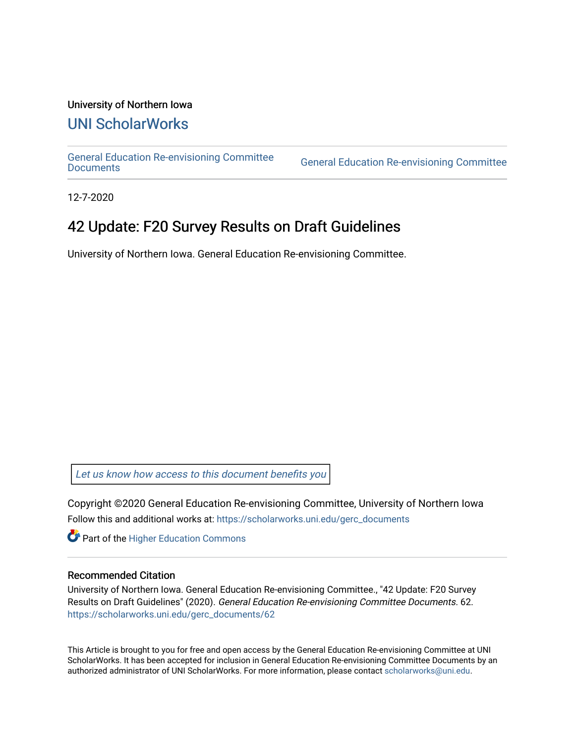#### University of Northern Iowa

## [UNI ScholarWorks](https://scholarworks.uni.edu/)

[General Education Re-envisioning Committee](https://scholarworks.uni.edu/gerc_documents) 

**General Education Re-envisioning Committee** 

12-7-2020

## 42 Update: F20 Survey Results on Draft Guidelines

University of Northern Iowa. General Education Re-envisioning Committee.

[Let us know how access to this document benefits you](https://scholarworks.uni.edu/feedback_form.html) 

Copyright ©2020 General Education Re-envisioning Committee, University of Northern Iowa Follow this and additional works at: [https://scholarworks.uni.edu/gerc\\_documents](https://scholarworks.uni.edu/gerc_documents?utm_source=scholarworks.uni.edu%2Fgerc_documents%2F62&utm_medium=PDF&utm_campaign=PDFCoverPages)

**Part of the Higher Education Commons** 

#### Recommended Citation

University of Northern Iowa. General Education Re-envisioning Committee., "42 Update: F20 Survey Results on Draft Guidelines" (2020). General Education Re-envisioning Committee Documents. 62. [https://scholarworks.uni.edu/gerc\\_documents/62](https://scholarworks.uni.edu/gerc_documents/62?utm_source=scholarworks.uni.edu%2Fgerc_documents%2F62&utm_medium=PDF&utm_campaign=PDFCoverPages) 

This Article is brought to you for free and open access by the General Education Re-envisioning Committee at UNI ScholarWorks. It has been accepted for inclusion in General Education Re-envisioning Committee Documents by an authorized administrator of UNI ScholarWorks. For more information, please contact [scholarworks@uni.edu.](mailto:scholarworks@uni.edu)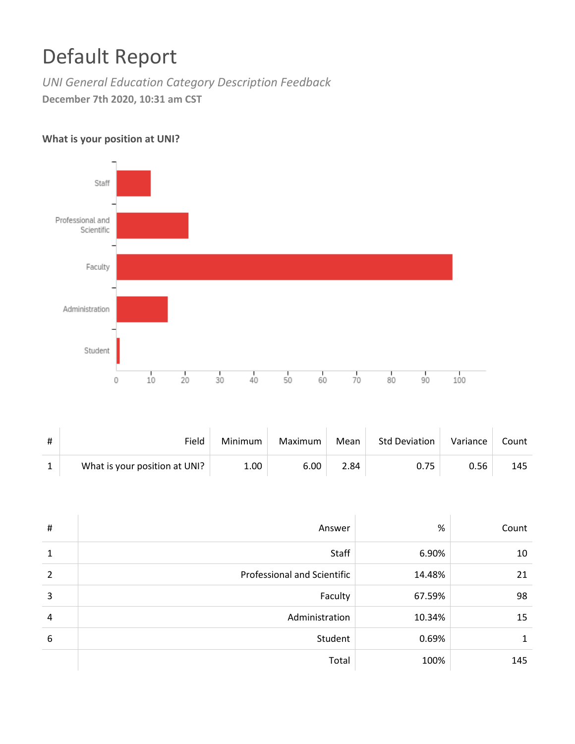# Default Report

*UNI General Education Category Description Feedback* **December 7th 2020, 10:31 am CST**

### **What is your position at UNI?**



| # | Field                         | Minimum | Maximum | Mean | Std Deviation | Variance | Count |
|---|-------------------------------|---------|---------|------|---------------|----------|-------|
|   | What is your position at UNI? | 1.00    | 6.00    | 2.84 | 0.75          | 0.56     | 145   |

| #            | Answer                      | %      | Count |
|--------------|-----------------------------|--------|-------|
| $\mathbf{1}$ | Staff                       | 6.90%  | 10    |
| 2            | Professional and Scientific | 14.48% | 21    |
| 3            | Faculty                     | 67.59% | 98    |
| 4            | Administration              | 10.34% | 15    |
| 6            | Student                     | 0.69%  | 1     |
|              | Total                       | 100%   | 145   |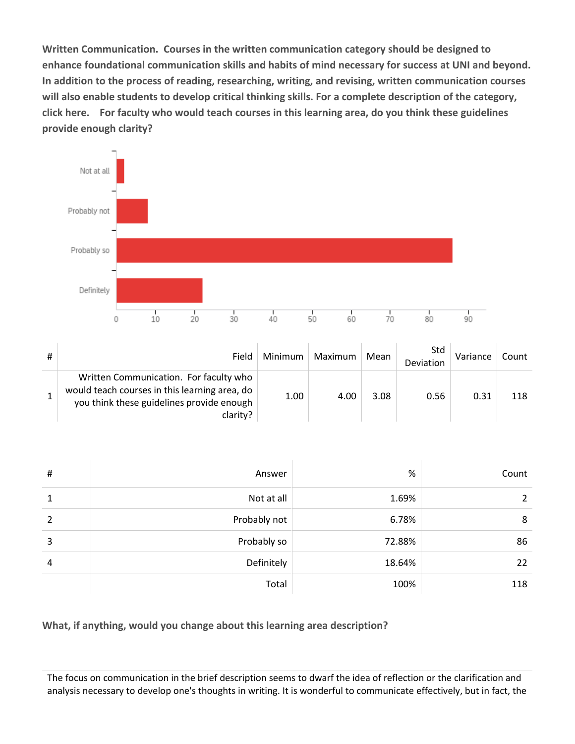**Written Communication. Courses in the written communication category should be designed to enhance foundational communication skills and habits of mind necessary for success at UNI and beyond. In addition to the process of reading, researching, writing, and revising, written communication courses will also enable students to develop critical thinking skills. For a complete description of the category, click here. For faculty who would teach courses in this learning area, do you think these guidelines provide enough clarity?**



| # | Field                                                                                                                                            | Minimum | Maximum | Mean | Std<br>Deviation | Variance | Count |
|---|--------------------------------------------------------------------------------------------------------------------------------------------------|---------|---------|------|------------------|----------|-------|
|   | Written Communication. For faculty who<br>would teach courses in this learning area, do<br>you think these guidelines provide enough<br>clarity? | 1.00    | 4.00    | 3.08 | 0.56             | 0.31     | 118   |

| # | Answer       | %      | Count |
|---|--------------|--------|-------|
| 1 | Not at all   | 1.69%  | 2     |
| 2 | Probably not | 6.78%  | 8     |
| 3 | Probably so  | 72.88% | 86    |
| 4 | Definitely   | 18.64% | 22    |
|   | Total        | 100%   | 118   |

**What, if anything, would you change about this learning area description?**

The focus on communication in the brief description seems to dwarf the idea of reflection or the clarification and analysis necessary to develop one's thoughts in writing. It is wonderful to communicate effectively, but in fact, the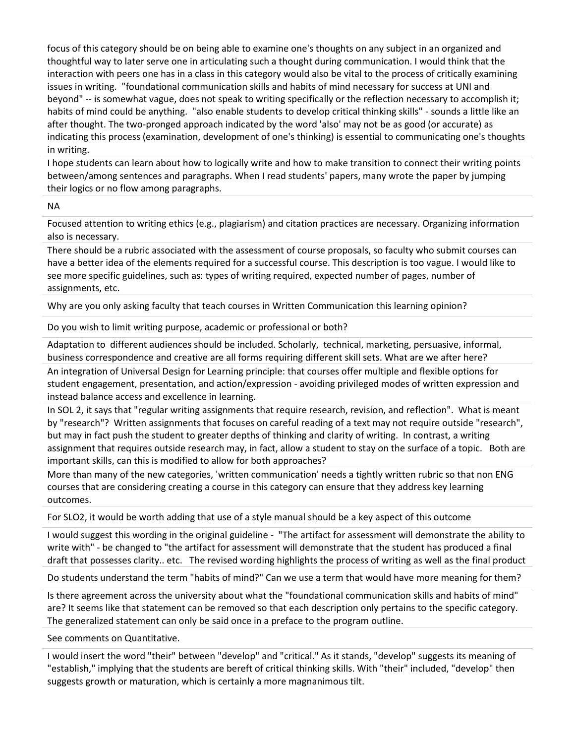focus of this category should be on being able to examine one's thoughts on any subject in an organized and thoughtful way to later serve one in articulating such a thought during communication. I would think that the interaction with peers one has in a class in this category would also be vital to the process of critically examining issues in writing. "foundational communication skills and habits of mind necessary for success at UNI and beyond" -- is somewhat vague, does not speak to writing specifically or the reflection necessary to accomplish it; habits of mind could be anything. "also enable students to develop critical thinking skills" - sounds a little like an after thought. The two-pronged approach indicated by the word 'also' may not be as good (or accurate) as indicating this process (examination, development of one's thinking) is essential to communicating one's thoughts in writing.

I hope students can learn about how to logically write and how to make transition to connect their writing points between/among sentences and paragraphs. When I read students' papers, many wrote the paper by jumping their logics or no flow among paragraphs.

NA

Focused attention to writing ethics (e.g., plagiarism) and citation practices are necessary. Organizing information also is necessary.

There should be a rubric associated with the assessment of course proposals, so faculty who submit courses can have a better idea of the elements required for a successful course. This description is too vague. I would like to see more specific guidelines, such as: types of writing required, expected number of pages, number of assignments, etc.

Why are you only asking faculty that teach courses in Written Communication this learning opinion?

Do you wish to limit writing purpose, academic or professional or both?

Adaptation to different audiences should be included. Scholarly, technical, marketing, persuasive, informal, business correspondence and creative are all forms requiring different skill sets. What are we after here? An integration of Universal Design for Learning principle: that courses offer multiple and flexible options for

student engagement, presentation, and action/expression - avoiding privileged modes of written expression and instead balance access and excellence in learning.

In SOL 2, it says that "regular writing assignments that require research, revision, and reflection". What is meant by "research"? Written assignments that focuses on careful reading of a text may not require outside "research", but may in fact push the student to greater depths of thinking and clarity of writing. In contrast, a writing assignment that requires outside research may, in fact, allow a student to stay on the surface of a topic. Both are important skills, can this is modified to allow for both approaches?

More than many of the new categories, 'written communication' needs a tightly written rubric so that non ENG courses that are considering creating a course in this category can ensure that they address key learning outcomes.

For SLO2, it would be worth adding that use of a style manual should be a key aspect of this outcome

I would suggest this wording in the original guideline - "The artifact for assessment will demonstrate the ability to write with" - be changed to "the artifact for assessment will demonstrate that the student has produced a final draft that possesses clarity.. etc. The revised wording highlights the process of writing as well as the final product

Do students understand the term "habits of mind?" Can we use a term that would have more meaning for them?

Is there agreement across the university about what the "foundational communication skills and habits of mind" are? It seems like that statement can be removed so that each description only pertains to the specific category. The generalized statement can only be said once in a preface to the program outline.

See comments on Quantitative.

I would insert the word "their" between "develop" and "critical." As it stands, "develop" suggests its meaning of "establish," implying that the students are bereft of critical thinking skills. With "their" included, "develop" then suggests growth or maturation, which is certainly a more magnanimous tilt.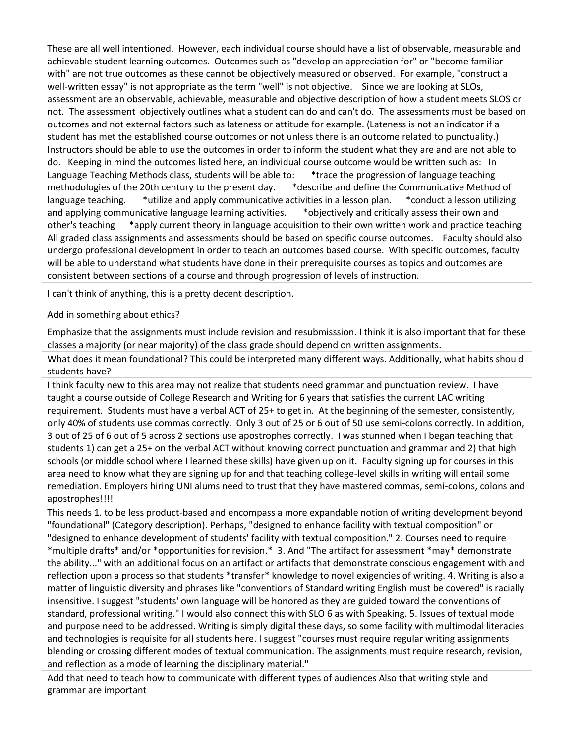These are all well intentioned. However, each individual course should have a list of observable, measurable and achievable student learning outcomes. Outcomes such as "develop an appreciation for" or "become familiar with" are not true outcomes as these cannot be objectively measured or observed. For example, "construct a well-written essay" is not appropriate as the term "well" is not objective. Since we are looking at SLOs, assessment are an observable, achievable, measurable and objective description of how a student meets SLOS or not. The assessment objectively outlines what a student can do and can't do. The assessments must be based on outcomes and not external factors such as lateness or attitude for example. (Lateness is not an indicator if a student has met the established course outcomes or not unless there is an outcome related to punctuality.) Instructors should be able to use the outcomes in order to inform the student what they are and are not able to do. Keeping in mind the outcomes listed here, an individual course outcome would be written such as: In Language Teaching Methods class, students will be able to: \*trace the progression of language teaching methodologies of the 20th century to the present day. \*describe and define the Communicative Method of language teaching. \*utilize and apply communicative activities in a lesson plan. \*conduct a lesson utilizing and applying communicative language learning activities. \* \* \* \* \* \* \* objectively and critically assess their own and other's teaching \*apply current theory in language acquisition to their own written work and practice teaching All graded class assignments and assessments should be based on specific course outcomes. Faculty should also undergo professional development in order to teach an outcomes based course. With specific outcomes, faculty will be able to understand what students have done in their prerequisite courses as topics and outcomes are consistent between sections of a course and through progression of levels of instruction.

I can't think of anything, this is a pretty decent description.

#### Add in something about ethics?

Emphasize that the assignments must include revision and resubmisssion. I think it is also important that for these classes a majority (or near majority) of the class grade should depend on written assignments.

What does it mean foundational? This could be interpreted many different ways. Additionally, what habits should students have?

I think faculty new to this area may not realize that students need grammar and punctuation review. I have taught a course outside of College Research and Writing for 6 years that satisfies the current LAC writing requirement. Students must have a verbal ACT of 25+ to get in. At the beginning of the semester, consistently, only 40% of students use commas correctly. Only 3 out of 25 or 6 out of 50 use semi-colons correctly. In addition, 3 out of 25 of 6 out of 5 across 2 sections use apostrophes correctly. I was stunned when I began teaching that students 1) can get a 25+ on the verbal ACT without knowing correct punctuation and grammar and 2) that high schools (or middle school where I learned these skills) have given up on it. Faculty signing up for courses in this area need to know what they are signing up for and that teaching college-level skills in writing will entail some remediation. Employers hiring UNI alums need to trust that they have mastered commas, semi-colons, colons and apostrophes!!!!

This needs 1. to be less product-based and encompass a more expandable notion of writing development beyond "foundational" (Category description). Perhaps, "designed to enhance facility with textual composition" or "designed to enhance development of students' facility with textual composition." 2. Courses need to require \*multiple drafts\* and/or \*opportunities for revision.\* 3. And "The artifact for assessment \*may\* demonstrate the ability..." with an additional focus on an artifact or artifacts that demonstrate conscious engagement with and reflection upon a process so that students \*transfer\* knowledge to novel exigencies of writing. 4. Writing is also a matter of linguistic diversity and phrases like "conventions of Standard writing English must be covered" is racially insensitive. I suggest "students' own language will be honored as they are guided toward the conventions of standard, professional writing." I would also connect this with SLO 6 as with Speaking. 5. Issues of textual mode and purpose need to be addressed. Writing is simply digital these days, so some facility with multimodal literacies and technologies is requisite for all students here. I suggest "courses must require regular writing assignments blending or crossing different modes of textual communication. The assignments must require research, revision, and reflection as a mode of learning the disciplinary material."

Add that need to teach how to communicate with different types of audiences Also that writing style and grammar are important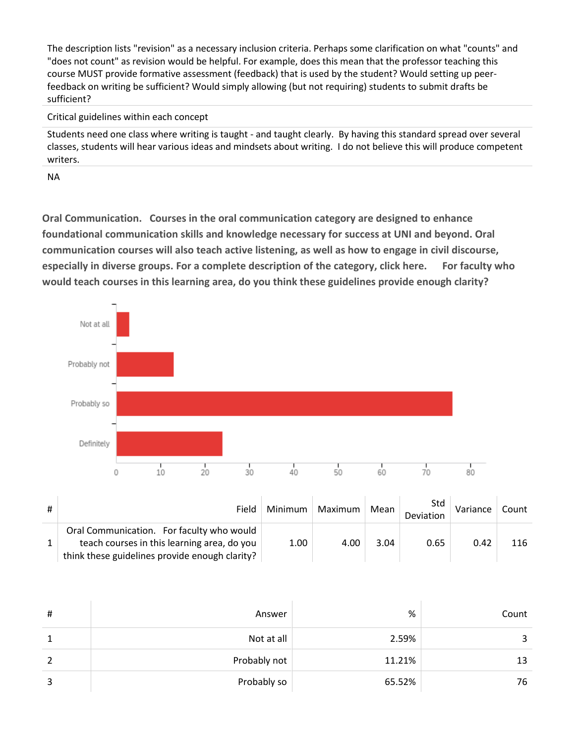The description lists "revision" as a necessary inclusion criteria. Perhaps some clarification on what "counts" and "does not count" as revision would be helpful. For example, does this mean that the professor teaching this course MUST provide formative assessment (feedback) that is used by the student? Would setting up peerfeedback on writing be sufficient? Would simply allowing (but not requiring) students to submit drafts be sufficient?

#### Critical guidelines within each concept

Students need one class where writing is taught - and taught clearly. By having this standard spread over several classes, students will hear various ideas and mindsets about writing. I do not believe this will produce competent writers.

NA

**Oral Communication. Courses in the oral communication category are designed to enhance foundational communication skills and knowledge necessary for success at UNI and beyond. Oral communication courses will also teach active listening, as well as how to engage in civil discourse, especially in diverse groups. For a complete description of the category, click here. For faculty who would teach courses in this learning area, do you think these guidelines provide enough clarity?**



| Field                                                                                                                                      | Minimum | Maximum | Mean | Std<br>Deviation | Variance | Count |
|--------------------------------------------------------------------------------------------------------------------------------------------|---------|---------|------|------------------|----------|-------|
| Oral Communication. For faculty who would<br>teach courses in this learning area, do you<br>think these guidelines provide enough clarity? | 1.00    | 4.00    | 3.04 | 0.65             | 0.42     | 116   |

| # | Answer       | %      | Count |
|---|--------------|--------|-------|
|   | Not at all   | 2.59%  | 3     |
| 2 | Probably not | 11.21% | 13    |
| 3 | Probably so  | 65.52% | 76    |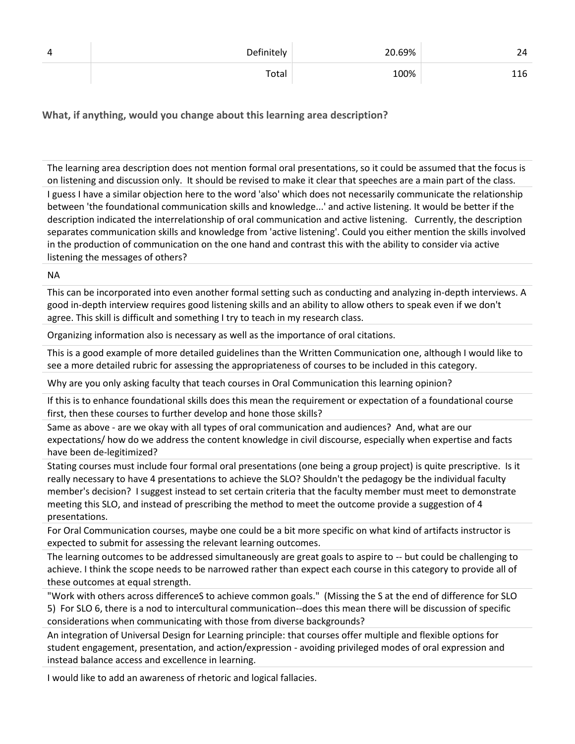| Δ | Definitely | 20.69% |  |
|---|------------|--------|--|
|   | Total      | 100%   |  |

**What, if anything, would you change about this learning area description?**

The learning area description does not mention formal oral presentations, so it could be assumed that the focus is on listening and discussion only. It should be revised to make it clear that speeches are a main part of the class. I guess I have a similar objection here to the word 'also' which does not necessarily communicate the relationship between 'the foundational communication skills and knowledge...' and active listening. It would be better if the description indicated the interrelationship of oral communication and active listening. Currently, the description separates communication skills and knowledge from 'active listening'. Could you either mention the skills involved in the production of communication on the one hand and contrast this with the ability to consider via active listening the messages of others?

NA

This can be incorporated into even another formal setting such as conducting and analyzing in-depth interviews. A good in-depth interview requires good listening skills and an ability to allow others to speak even if we don't agree. This skill is difficult and something I try to teach in my research class.

Organizing information also is necessary as well as the importance of oral citations.

This is a good example of more detailed guidelines than the Written Communication one, although I would like to see a more detailed rubric for assessing the appropriateness of courses to be included in this category.

Why are you only asking faculty that teach courses in Oral Communication this learning opinion?

If this is to enhance foundational skills does this mean the requirement or expectation of a foundational course first, then these courses to further develop and hone those skills?

Same as above - are we okay with all types of oral communication and audiences? And, what are our expectations/ how do we address the content knowledge in civil discourse, especially when expertise and facts have been de-legitimized?

Stating courses must include four formal oral presentations (one being a group project) is quite prescriptive. Is it really necessary to have 4 presentations to achieve the SLO? Shouldn't the pedagogy be the individual faculty member's decision? I suggest instead to set certain criteria that the faculty member must meet to demonstrate meeting this SLO, and instead of prescribing the method to meet the outcome provide a suggestion of 4 presentations.

For Oral Communication courses, maybe one could be a bit more specific on what kind of artifacts instructor is expected to submit for assessing the relevant learning outcomes.

The learning outcomes to be addressed simultaneously are great goals to aspire to -- but could be challenging to achieve. I think the scope needs to be narrowed rather than expect each course in this category to provide all of these outcomes at equal strength.

"Work with others across differenceS to achieve common goals." (Missing the S at the end of difference for SLO 5) For SLO 6, there is a nod to intercultural communication--does this mean there will be discussion of specific considerations when communicating with those from diverse backgrounds?

An integration of Universal Design for Learning principle: that courses offer multiple and flexible options for student engagement, presentation, and action/expression - avoiding privileged modes of oral expression and instead balance access and excellence in learning.

I would like to add an awareness of rhetoric and logical fallacies.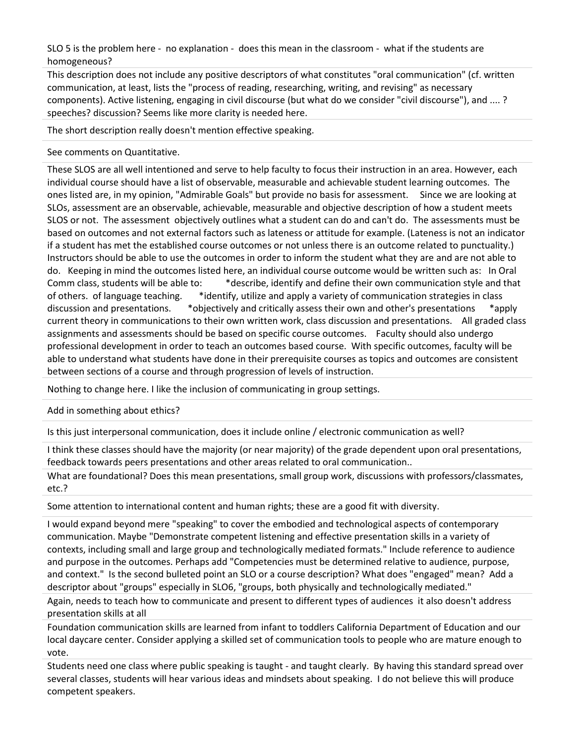SLO 5 is the problem here - no explanation - does this mean in the classroom - what if the students are homogeneous?

This description does not include any positive descriptors of what constitutes "oral communication" (cf. written communication, at least, lists the "process of reading, researching, writing, and revising" as necessary components). Active listening, engaging in civil discourse (but what do we consider "civil discourse"), and .... ? speeches? discussion? Seems like more clarity is needed here.

The short description really doesn't mention effective speaking.

#### See comments on Quantitative.

These SLOS are all well intentioned and serve to help faculty to focus their instruction in an area. However, each individual course should have a list of observable, measurable and achievable student learning outcomes. The ones listed are, in my opinion, "Admirable Goals" but provide no basis for assessment. Since we are looking at SLOs, assessment are an observable, achievable, measurable and objective description of how a student meets SLOS or not. The assessment objectively outlines what a student can do and can't do. The assessments must be based on outcomes and not external factors such as lateness or attitude for example. (Lateness is not an indicator if a student has met the established course outcomes or not unless there is an outcome related to punctuality.) Instructors should be able to use the outcomes in order to inform the student what they are and are not able to do. Keeping in mind the outcomes listed here, an individual course outcome would be written such as: In Oral Comm class, students will be able to: \*describe, identify and define their own communication style and that of others. of language teaching. \*identify, utilize and apply a variety of communication strategies in class discussion and presentations. \*objectively and critically assess their own and other's presentations \*apply current theory in communications to their own written work, class discussion and presentations. All graded class assignments and assessments should be based on specific course outcomes. Faculty should also undergo professional development in order to teach an outcomes based course. With specific outcomes, faculty will be able to understand what students have done in their prerequisite courses as topics and outcomes are consistent between sections of a course and through progression of levels of instruction.

Nothing to change here. I like the inclusion of communicating in group settings.

Add in something about ethics?

Is this just interpersonal communication, does it include online / electronic communication as well?

I think these classes should have the majority (or near majority) of the grade dependent upon oral presentations, feedback towards peers presentations and other areas related to oral communication..

What are foundational? Does this mean presentations, small group work, discussions with professors/classmates, etc.?

Some attention to international content and human rights; these are a good fit with diversity.

I would expand beyond mere "speaking" to cover the embodied and technological aspects of contemporary communication. Maybe "Demonstrate competent listening and effective presentation skills in a variety of contexts, including small and large group and technologically mediated formats." Include reference to audience and purpose in the outcomes. Perhaps add "Competencies must be determined relative to audience, purpose, and context." Is the second bulleted point an SLO or a course description? What does "engaged" mean? Add a descriptor about "groups" especially in SLO6, "groups, both physically and technologically mediated."

Again, needs to teach how to communicate and present to different types of audiences it also doesn't address presentation skills at all

Foundation communication skills are learned from infant to toddlers California Department of Education and our local daycare center. Consider applying a skilled set of communication tools to people who are mature enough to vote.

Students need one class where public speaking is taught - and taught clearly. By having this standard spread over several classes, students will hear various ideas and mindsets about speaking. I do not believe this will produce competent speakers.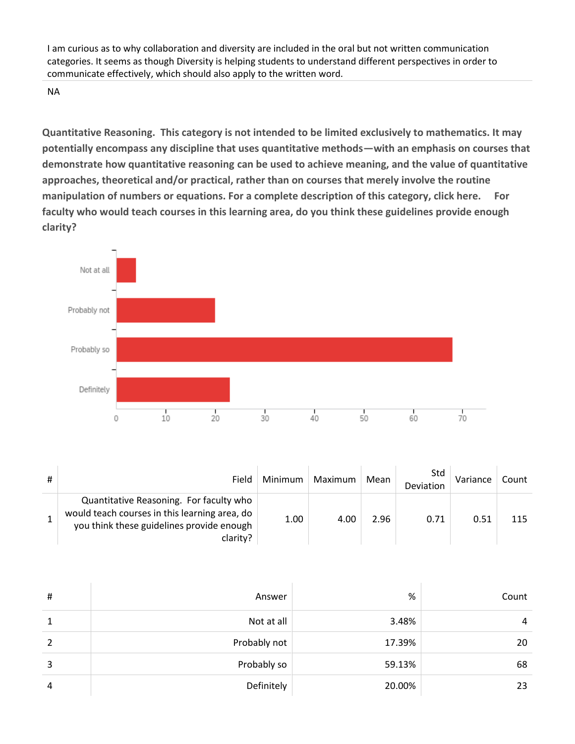I am curious as to why collaboration and diversity are included in the oral but not written communication categories. It seems as though Diversity is helping students to understand different perspectives in order to communicate effectively, which should also apply to the written word.

NA

**Quantitative Reasoning. This category is not intended to be limited exclusively to mathematics. It may potentially encompass any discipline that uses quantitative methods—with an emphasis on courses that demonstrate how quantitative reasoning can be used to achieve meaning, and the value of quantitative approaches, theoretical and/or practical, rather than on courses that merely involve the routine manipulation of numbers or equations. For a complete description of this category, click here. For faculty who would teach courses in this learning area, do you think these guidelines provide enough clarity?**



| # | Field                                                                                                                                             | Minimum | Maximum | Mean | Std<br>Deviation | Variance | Count |
|---|---------------------------------------------------------------------------------------------------------------------------------------------------|---------|---------|------|------------------|----------|-------|
|   | Quantitative Reasoning. For faculty who<br>would teach courses in this learning area, do<br>you think these guidelines provide enough<br>clarity? | 1.00    | 4.00    | 2.96 | 0.71             | 0.51     | 115   |

| #              | Answer       | %      | Count |
|----------------|--------------|--------|-------|
| 1              | Not at all   | 3.48%  | 4     |
| $\overline{2}$ | Probably not | 17.39% | 20    |
| 3              | Probably so  | 59.13% | 68    |
| $\overline{4}$ | Definitely   | 20.00% | 23    |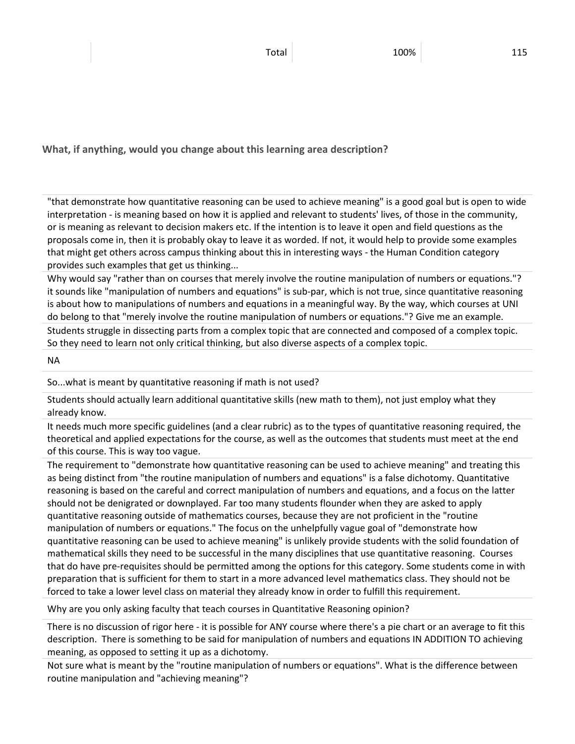**What, if anything, would you change about this learning area description?**

"that demonstrate how quantitative reasoning can be used to achieve meaning" is a good goal but is open to wide interpretation - is meaning based on how it is applied and relevant to students' lives, of those in the community, or is meaning as relevant to decision makers etc. If the intention is to leave it open and field questions as the proposals come in, then it is probably okay to leave it as worded. If not, it would help to provide some examples that might get others across campus thinking about this in interesting ways - the Human Condition category provides such examples that get us thinking...

Why would say "rather than on courses that merely involve the routine manipulation of numbers or equations."? it sounds like "manipulation of numbers and equations" is sub-par, which is not true, since quantitative reasoning is about how to manipulations of numbers and equations in a meaningful way. By the way, which courses at UNI do belong to that "merely involve the routine manipulation of numbers or equations."? Give me an example.

Students struggle in dissecting parts from a complex topic that are connected and composed of a complex topic. So they need to learn not only critical thinking, but also diverse aspects of a complex topic.

NA

So...what is meant by quantitative reasoning if math is not used?

Students should actually learn additional quantitative skills (new math to them), not just employ what they already know.

It needs much more specific guidelines (and a clear rubric) as to the types of quantitative reasoning required, the theoretical and applied expectations for the course, as well as the outcomes that students must meet at the end of this course. This is way too vague.

The requirement to "demonstrate how quantitative reasoning can be used to achieve meaning" and treating this as being distinct from "the routine manipulation of numbers and equations" is a false dichotomy. Quantitative reasoning is based on the careful and correct manipulation of numbers and equations, and a focus on the latter should not be denigrated or downplayed. Far too many students flounder when they are asked to apply quantitative reasoning outside of mathematics courses, because they are not proficient in the "routine manipulation of numbers or equations." The focus on the unhelpfully vague goal of "demonstrate how quantitative reasoning can be used to achieve meaning" is unlikely provide students with the solid foundation of mathematical skills they need to be successful in the many disciplines that use quantitative reasoning. Courses that do have pre-requisites should be permitted among the options for this category. Some students come in with preparation that is sufficient for them to start in a more advanced level mathematics class. They should not be forced to take a lower level class on material they already know in order to fulfill this requirement.

Why are you only asking faculty that teach courses in Quantitative Reasoning opinion?

There is no discussion of rigor here - it is possible for ANY course where there's a pie chart or an average to fit this description. There is something to be said for manipulation of numbers and equations IN ADDITION TO achieving meaning, as opposed to setting it up as a dichotomy.

Not sure what is meant by the "routine manipulation of numbers or equations". What is the difference between routine manipulation and "achieving meaning"?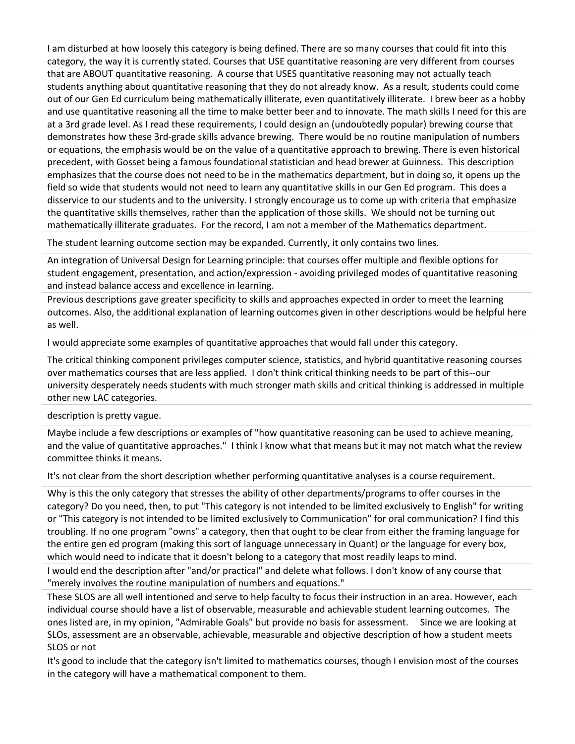I am disturbed at how loosely this category is being defined. There are so many courses that could fit into this category, the way it is currently stated. Courses that USE quantitative reasoning are very different from courses that are ABOUT quantitative reasoning. A course that USES quantitative reasoning may not actually teach students anything about quantitative reasoning that they do not already know. As a result, students could come out of our Gen Ed curriculum being mathematically illiterate, even quantitatively illiterate. I brew beer as a hobby and use quantitative reasoning all the time to make better beer and to innovate. The math skills I need for this are at a 3rd grade level. As I read these requirements, I could design an (undoubtedly popular) brewing course that demonstrates how these 3rd-grade skills advance brewing. There would be no routine manipulation of numbers or equations, the emphasis would be on the value of a quantitative approach to brewing. There is even historical precedent, with Gosset being a famous foundational statistician and head brewer at Guinness. This description emphasizes that the course does not need to be in the mathematics department, but in doing so, it opens up the field so wide that students would not need to learn any quantitative skills in our Gen Ed program. This does a disservice to our students and to the university. I strongly encourage us to come up with criteria that emphasize the quantitative skills themselves, rather than the application of those skills. We should not be turning out mathematically illiterate graduates. For the record, I am not a member of the Mathematics department.

The student learning outcome section may be expanded. Currently, it only contains two lines.

An integration of Universal Design for Learning principle: that courses offer multiple and flexible options for student engagement, presentation, and action/expression - avoiding privileged modes of quantitative reasoning and instead balance access and excellence in learning.

Previous descriptions gave greater specificity to skills and approaches expected in order to meet the learning outcomes. Also, the additional explanation of learning outcomes given in other descriptions would be helpful here as well.

I would appreciate some examples of quantitative approaches that would fall under this category.

The critical thinking component privileges computer science, statistics, and hybrid quantitative reasoning courses over mathematics courses that are less applied. I don't think critical thinking needs to be part of this--our university desperately needs students with much stronger math skills and critical thinking is addressed in multiple other new LAC categories.

description is pretty vague.

Maybe include a few descriptions or examples of "how quantitative reasoning can be used to achieve meaning, and the value of quantitative approaches." I think I know what that means but it may not match what the review committee thinks it means.

It's not clear from the short description whether performing quantitative analyses is a course requirement.

Why is this the only category that stresses the ability of other departments/programs to offer courses in the category? Do you need, then, to put "This category is not intended to be limited exclusively to English" for writing or "This category is not intended to be limited exclusively to Communication" for oral communication? I find this troubling. If no one program "owns" a category, then that ought to be clear from either the framing language for the entire gen ed program (making this sort of language unnecessary in Quant) or the language for every box, which would need to indicate that it doesn't belong to a category that most readily leaps to mind.

I would end the description after "and/or practical" and delete what follows. I don't know of any course that "merely involves the routine manipulation of numbers and equations."

These SLOS are all well intentioned and serve to help faculty to focus their instruction in an area. However, each individual course should have a list of observable, measurable and achievable student learning outcomes. The ones listed are, in my opinion, "Admirable Goals" but provide no basis for assessment. Since we are looking at SLOs, assessment are an observable, achievable, measurable and objective description of how a student meets SLOS or not

It's good to include that the category isn't limited to mathematics courses, though I envision most of the courses in the category will have a mathematical component to them.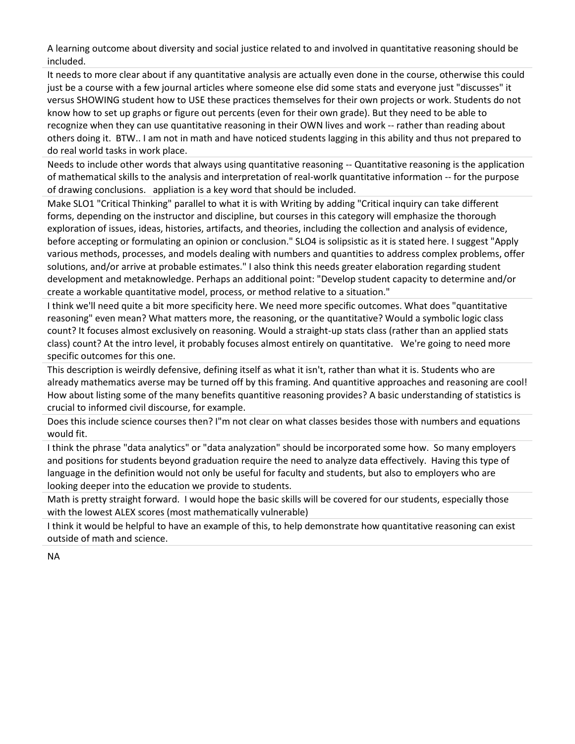A learning outcome about diversity and social justice related to and involved in quantitative reasoning should be included.

It needs to more clear about if any quantitative analysis are actually even done in the course, otherwise this could just be a course with a few journal articles where someone else did some stats and everyone just "discusses" it versus SHOWING student how to USE these practices themselves for their own projects or work. Students do not know how to set up graphs or figure out percents (even for their own grade). But they need to be able to recognize when they can use quantitative reasoning in their OWN lives and work -- rather than reading about others doing it. BTW.. I am not in math and have noticed students lagging in this ability and thus not prepared to do real world tasks in work place.

Needs to include other words that always using quantitative reasoning -- Quantitative reasoning is the application of mathematical skills to the analysis and interpretation of real-worlk quantitative information -- for the purpose of drawing conclusions. appliation is a key word that should be included.

Make SLO1 "Critical Thinking" parallel to what it is with Writing by adding "Critical inquiry can take different forms, depending on the instructor and discipline, but courses in this category will emphasize the thorough exploration of issues, ideas, histories, artifacts, and theories, including the collection and analysis of evidence, before accepting or formulating an opinion or conclusion." SLO4 is solipsistic as it is stated here. I suggest "Apply various methods, processes, and models dealing with numbers and quantities to address complex problems, offer solutions, and/or arrive at probable estimates." I also think this needs greater elaboration regarding student development and metaknowledge. Perhaps an additional point: "Develop student capacity to determine and/or create a workable quantitative model, process, or method relative to a situation."

I think we'll need quite a bit more specificity here. We need more specific outcomes. What does "quantitative reasoning" even mean? What matters more, the reasoning, or the quantitative? Would a symbolic logic class count? It focuses almost exclusively on reasoning. Would a straight-up stats class (rather than an applied stats class) count? At the intro level, it probably focuses almost entirely on quantitative. We're going to need more specific outcomes for this one.

This description is weirdly defensive, defining itself as what it isn't, rather than what it is. Students who are already mathematics averse may be turned off by this framing. And quantitive approaches and reasoning are cool! How about listing some of the many benefits quantitive reasoning provides? A basic understanding of statistics is crucial to informed civil discourse, for example.

Does this include science courses then? I"m not clear on what classes besides those with numbers and equations would fit.

I think the phrase "data analytics" or "data analyzation" should be incorporated some how. So many employers and positions for students beyond graduation require the need to analyze data effectively. Having this type of language in the definition would not only be useful for faculty and students, but also to employers who are looking deeper into the education we provide to students.

Math is pretty straight forward. I would hope the basic skills will be covered for our students, especially those with the lowest ALEX scores (most mathematically vulnerable)

I think it would be helpful to have an example of this, to help demonstrate how quantitative reasoning can exist outside of math and science.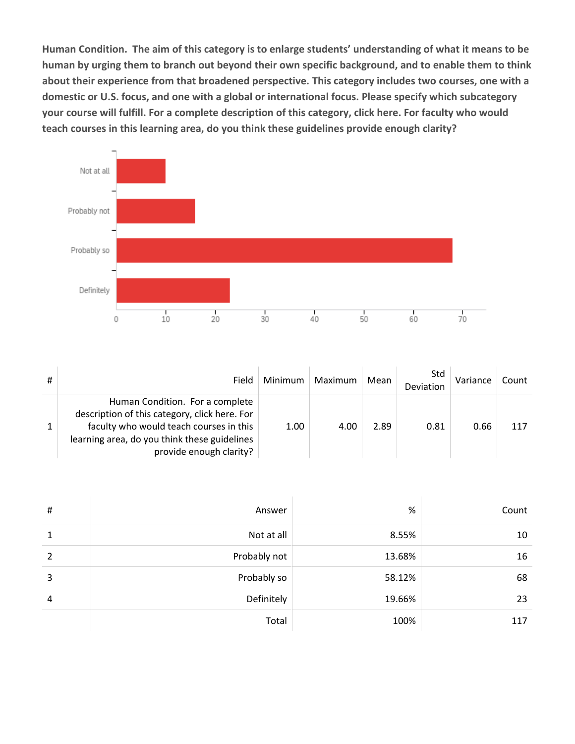**Human Condition. The aim of this category is to enlarge students' understanding of what it means to be human by urging them to branch out beyond their own specific background, and to enable them to think about their experience from that broadened perspective. This category includes two courses, one with a domestic or U.S. focus, and one with a global or international focus. Please specify which subcategory your course will fulfill. For a complete description of this category, click here. For faculty who would teach courses in this learning area, do you think these guidelines provide enough clarity?**



| # | Field                                                                                                                                                                                                  | Minimum | Maximum | Mean | Std<br>Deviation | Variance | Count |
|---|--------------------------------------------------------------------------------------------------------------------------------------------------------------------------------------------------------|---------|---------|------|------------------|----------|-------|
|   | Human Condition. For a complete<br>description of this category, click here. For<br>faculty who would teach courses in this<br>learning area, do you think these guidelines<br>provide enough clarity? | 1.00    | 4.00    | 2.89 | 0.81             | 0.66     | 117   |

| # | Answer       | %      | Count |
|---|--------------|--------|-------|
| 1 | Not at all   | 8.55%  | 10    |
| 2 | Probably not | 13.68% | 16    |
| 3 | Probably so  | 58.12% | 68    |
| 4 | Definitely   | 19.66% | 23    |
|   | Total        | 100%   | 117   |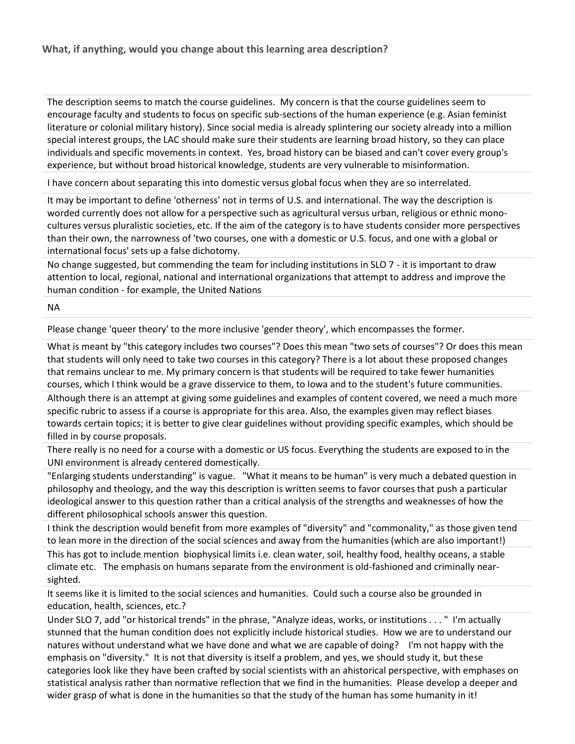The description seems to match the course guidelines. My concern is that the course guidelines seem to encourage faculty and students to focus on specific sub-sections of the human experience (e.g. Asian feminist literature or colonial military history). Since social media is already splintering our society already into a million special interest groups, the LAC should make sure their students are learning broad history, so they can place individuals and specific movements in context. Yes, broad history can be biased and can't cover every group's experience, but without broad historical knowledge, students are very vulnerable to misinformation.

I have concern about separating this into domestic versus global focus when they are so interrelated.

It may be important to define 'otherness' not in terms of U.S. and international. The way the description is worded currently does not allow for a perspective such as agricultural versus urban, religious or ethnic monocultures versus pluralistic societies, etc. If the aim of the category is to have students consider more perspectives than their own, the narrowness of 'two courses, one with a domestic or U.S. focus, and one with a global or international focus' sets up a false dichotomy.

No change suggested, but commending the team for including institutions in SLO 7 - it is important to draw attention to local, regional, national and international organizations that attempt to address and improve the human condition - for example, the United Nations

NA

Please change 'queer theory' to the more inclusive 'gender theory', which encompasses the former.

What is meant by "this category includes two courses"? Does this mean "two sets of courses"? Or does this mean that students will only need to take two courses in this category? There is a lot about these proposed changes that remains unclear to me. My primary concern is that students will be required to take fewer humanities courses, which I think would be a grave disservice to them, to Iowa and to the student's future communities.

Although there is an attempt at giving some guidelines and examples of content covered, we need a much more specific rubric to assess if a course is appropriate for this area. Also, the examples given may reflect biases towards certain topics; it is better to give clear guidelines without providing specific examples, which should be filled in by course proposals.

There really is no need for a course with a domestic or US focus. Everything the students are exposed to in the UNI environment is already centered domestically.

"Enlarging students understanding" is vague. "What it means to be human" is very much a debated question in philosophy and theology, and the way this description is written seems to favor courses that push a particular ideological answer to this question rather than a critical analysis of the strengths and weaknesses of how the different philosophical schools answer this question.

I think the description would benefit from more examples of "diversity" and "commonality," as those given tend to lean more in the direction of the social sciences and away from the humanities (which are also important!)

This has got to include mention biophysical limits i.e. clean water, soil, healthy food, healthy oceans, a stable climate etc. The emphasis on humans separate from the environment is old-fashioned and criminally nearsighted.

It seems like it is limited to the social sciences and humanities. Could such a course also be grounded in education, health, sciences, etc.?

Under SLO 7, add "or historical trends" in the phrase, "Analyze ideas, works, or institutions . . . " I'm actually stunned that the human condition does not explicitly include historical studies. How we are to understand our natures without understand what we have done and what we are capable of doing? I'm not happy with the emphasis on "diversity." It is not that diversity is itself a problem, and yes, we should study it, but these categories look like they have been crafted by social scientists with an ahistorical perspective, with emphases on statistical analysis rather than normative reflection that we find in the humanities. Please develop a deeper and wider grasp of what is done in the humanities so that the study of the human has some humanity in it!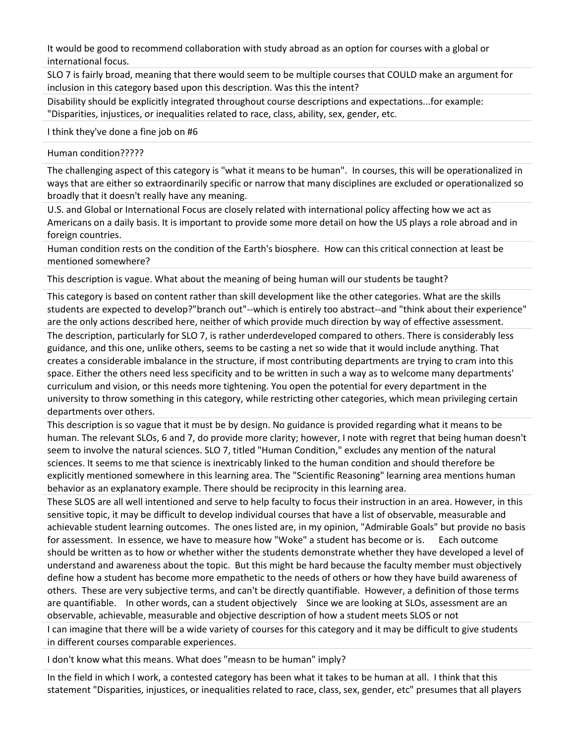It would be good to recommend collaboration with study abroad as an option for courses with a global or international focus.

SLO 7 is fairly broad, meaning that there would seem to be multiple courses that COULD make an argument for inclusion in this category based upon this description. Was this the intent?

Disability should be explicitly integrated throughout course descriptions and expectations...for example: "Disparities, injustices, or inequalities related to race, class, ability, sex, gender, etc.

I think they've done a fine job on #6

#### Human condition?????

The challenging aspect of this category is "what it means to be human". In courses, this will be operationalized in ways that are either so extraordinarily specific or narrow that many disciplines are excluded or operationalized so broadly that it doesn't really have any meaning.

U.S. and Global or International Focus are closely related with international policy affecting how we act as Americans on a daily basis. It is important to provide some more detail on how the US plays a role abroad and in foreign countries.

Human condition rests on the condition of the Earth's biosphere. How can this critical connection at least be mentioned somewhere?

This description is vague. What about the meaning of being human will our students be taught?

This category is based on content rather than skill development like the other categories. What are the skills students are expected to develop?"branch out"--which is entirely too abstract--and "think about their experience" are the only actions described here, neither of which provide much direction by way of effective assessment.

The description, particularly for SLO 7, is rather underdeveloped compared to others. There is considerably less guidance, and this one, unlike others, seems to be casting a net so wide that it would include anything. That creates a considerable imbalance in the structure, if most contributing departments are trying to cram into this space. Either the others need less specificity and to be written in such a way as to welcome many departments' curriculum and vision, or this needs more tightening. You open the potential for every department in the university to throw something in this category, while restricting other categories, which mean privileging certain departments over others.

This description is so vague that it must be by design. No guidance is provided regarding what it means to be human. The relevant SLOs, 6 and 7, do provide more clarity; however, I note with regret that being human doesn't seem to involve the natural sciences. SLO 7, titled "Human Condition," excludes any mention of the natural sciences. It seems to me that science is inextricably linked to the human condition and should therefore be explicitly mentioned somewhere in this learning area. The "Scientific Reasoning" learning area mentions human behavior as an explanatory example. There should be reciprocity in this learning area.

These SLOS are all well intentioned and serve to help faculty to focus their instruction in an area. However, in this sensitive topic, it may be difficult to develop individual courses that have a list of observable, measurable and achievable student learning outcomes. The ones listed are, in my opinion, "Admirable Goals" but provide no basis for assessment. In essence, we have to measure how "Woke" a student has become or is. Each outcome should be written as to how or whether wither the students demonstrate whether they have developed a level of understand and awareness about the topic. But this might be hard because the faculty member must objectively define how a student has become more empathetic to the needs of others or how they have build awareness of others. These are very subjective terms, and can't be directly quantifiable. However, a definition of those terms are quantifiable. In other words, can a student objectively Since we are looking at SLOs, assessment are an observable, achievable, measurable and objective description of how a student meets SLOS or not

I can imagine that there will be a wide variety of courses for this category and it may be difficult to give students in different courses comparable experiences.

I don't know what this means. What does "measn to be human" imply?

In the field in which I work, a contested category has been what it takes to be human at all. I think that this statement "Disparities, injustices, or inequalities related to race, class, sex, gender, etc" presumes that all players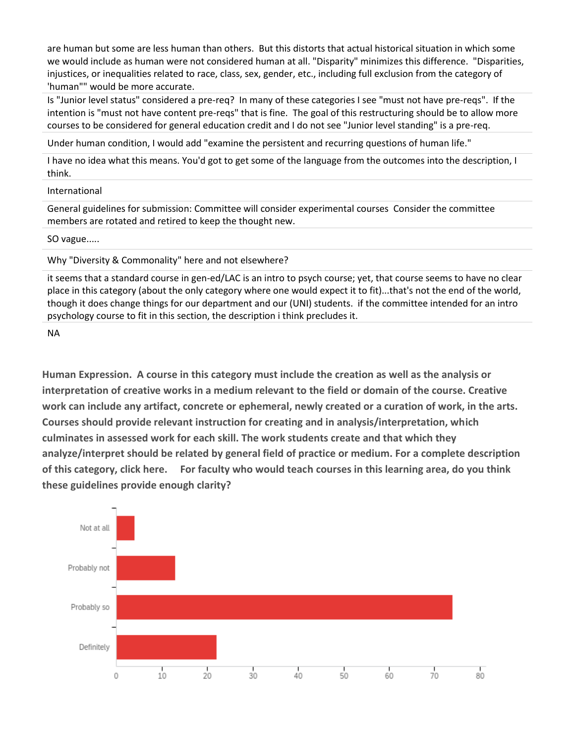are human but some are less human than others. But this distorts that actual historical situation in which some we would include as human were not considered human at all. "Disparity" minimizes this difference. "Disparities, injustices, or inequalities related to race, class, sex, gender, etc., including full exclusion from the category of 'human"" would be more accurate.

Is "Junior level status" considered a pre-req? In many of these categories I see "must not have pre-reqs". If the intention is "must not have content pre-reqs" that is fine. The goal of this restructuring should be to allow more courses to be considered for general education credit and I do not see "Junior level standing" is a pre-req.

Under human condition, I would add "examine the persistent and recurring questions of human life."

I have no idea what this means. You'd got to get some of the language from the outcomes into the description, I think.

#### International

General guidelines for submission: Committee will consider experimental courses Consider the committee members are rotated and retired to keep the thought new.

SO vague.....

Why "Diversity & Commonality" here and not elsewhere?

it seems that a standard course in gen-ed/LAC is an intro to psych course; yet, that course seems to have no clear place in this category (about the only category where one would expect it to fit)...that's not the end of the world, though it does change things for our department and our (UNI) students. if the committee intended for an intro psychology course to fit in this section, the description i think precludes it.

NA

**Human Expression. A course in this category must include the creation as well as the analysis or interpretation of creative works in a medium relevant to the field or domain of the course. Creative work can include any artifact, concrete or ephemeral, newly created or a curation of work, in the arts. Courses should provide relevant instruction for creating and in analysis/interpretation, which culminates in assessed work for each skill. The work students create and that which they analyze/interpret should be related by general field of practice or medium. For a complete description of this category, click here. For faculty who would teach courses in this learning area, do you think these guidelines provide enough clarity?**

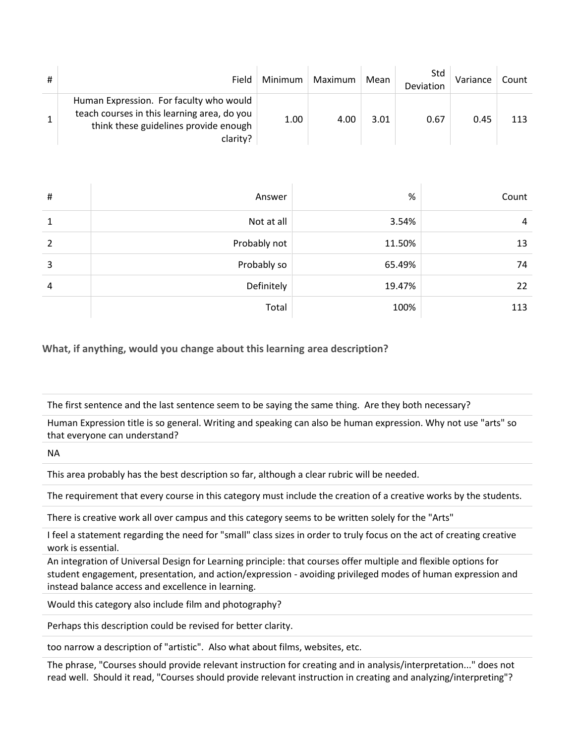| Field                                                                                                                                       | Minimum | Maximum | Mean | Std<br>Deviation | Variance | Count |
|---------------------------------------------------------------------------------------------------------------------------------------------|---------|---------|------|------------------|----------|-------|
| Human Expression. For faculty who would<br>teach courses in this learning area, do you<br>think these guidelines provide enough<br>clarity? | 1.00    | 4.00    | 3.01 | 0.67             | 0.45     | 113   |

| # | Answer       | $\%$   | Count |
|---|--------------|--------|-------|
| 1 | Not at all   | 3.54%  | 4     |
| 2 | Probably not | 11.50% | 13    |
| 3 | Probably so  | 65.49% | 74    |
| 4 | Definitely   | 19.47% | 22    |
|   | Total        | 100%   | 113   |

**What, if anything, would you change about this learning area description?**

The first sentence and the last sentence seem to be saying the same thing. Are they both necessary?

Human Expression title is so general. Writing and speaking can also be human expression. Why not use "arts" so that everyone can understand?

NA

This area probably has the best description so far, although a clear rubric will be needed.

The requirement that every course in this category must include the creation of a creative works by the students.

There is creative work all over campus and this category seems to be written solely for the "Arts"

I feel a statement regarding the need for "small" class sizes in order to truly focus on the act of creating creative work is essential.

An integration of Universal Design for Learning principle: that courses offer multiple and flexible options for student engagement, presentation, and action/expression - avoiding privileged modes of human expression and instead balance access and excellence in learning.

Would this category also include film and photography?

Perhaps this description could be revised for better clarity.

too narrow a description of "artistic". Also what about films, websites, etc.

The phrase, "Courses should provide relevant instruction for creating and in analysis/interpretation..." does not read well. Should it read, "Courses should provide relevant instruction in creating and analyzing/interpreting"?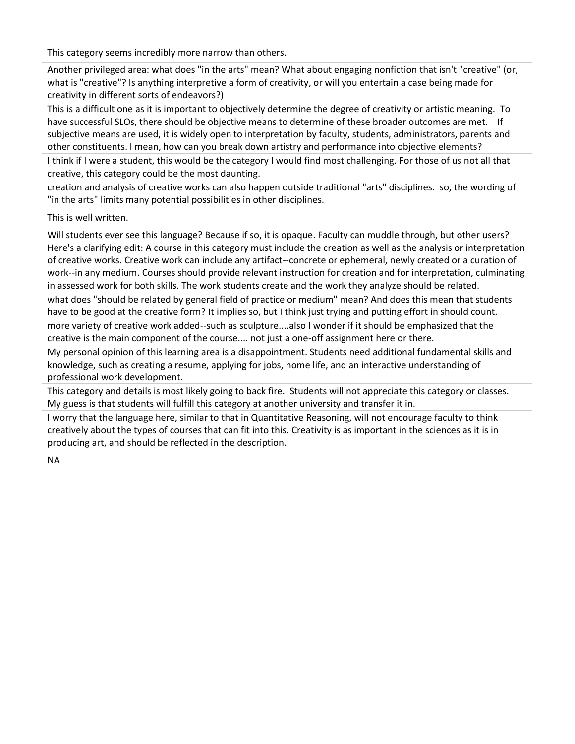This category seems incredibly more narrow than others.

Another privileged area: what does "in the arts" mean? What about engaging nonfiction that isn't "creative" (or, what is "creative"? Is anything interpretive a form of creativity, or will you entertain a case being made for creativity in different sorts of endeavors?)

This is a difficult one as it is important to objectively determine the degree of creativity or artistic meaning. To have successful SLOs, there should be objective means to determine of these broader outcomes are met. If subjective means are used, it is widely open to interpretation by faculty, students, administrators, parents and other constituents. I mean, how can you break down artistry and performance into objective elements?

I think if I were a student, this would be the category I would find most challenging. For those of us not all that creative, this category could be the most daunting.

creation and analysis of creative works can also happen outside traditional "arts" disciplines. so, the wording of "in the arts" limits many potential possibilities in other disciplines.

This is well written.

Will students ever see this language? Because if so, it is opaque. Faculty can muddle through, but other users? Here's a clarifying edit: A course in this category must include the creation as well as the analysis or interpretation of creative works. Creative work can include any artifact--concrete or ephemeral, newly created or a curation of work--in any medium. Courses should provide relevant instruction for creation and for interpretation, culminating in assessed work for both skills. The work students create and the work they analyze should be related.

what does "should be related by general field of practice or medium" mean? And does this mean that students have to be good at the creative form? It implies so, but I think just trying and putting effort in should count.

more variety of creative work added--such as sculpture....also I wonder if it should be emphasized that the creative is the main component of the course.... not just a one-off assignment here or there.

My personal opinion of this learning area is a disappointment. Students need additional fundamental skills and knowledge, such as creating a resume, applying for jobs, home life, and an interactive understanding of professional work development.

This category and details is most likely going to back fire. Students will not appreciate this category or classes. My guess is that students will fulfill this category at another university and transfer it in.

I worry that the language here, similar to that in Quantitative Reasoning, will not encourage faculty to think creatively about the types of courses that can fit into this. Creativity is as important in the sciences as it is in producing art, and should be reflected in the description.

NA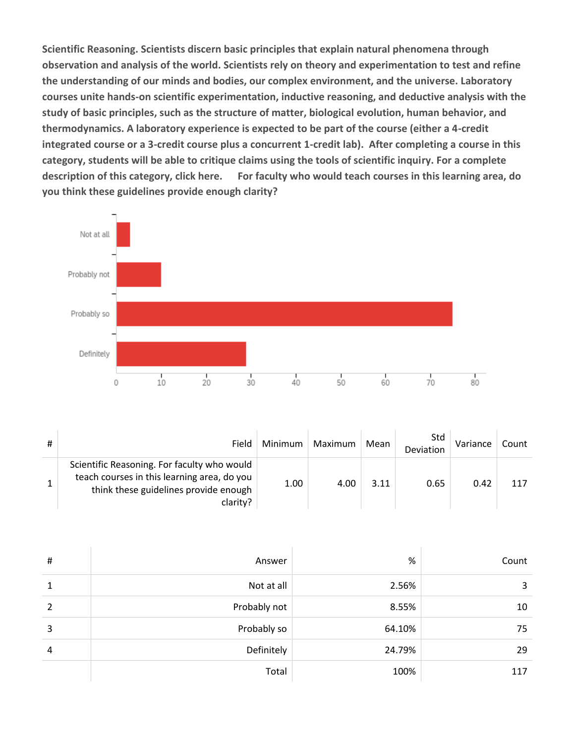**Scientific Reasoning. Scientists discern basic principles that explain natural phenomena through observation and analysis of the world. Scientists rely on theory and experimentation to test and refine the understanding of our minds and bodies, our complex environment, and the universe. Laboratory courses unite hands-on scientific experimentation, inductive reasoning, and deductive analysis with the study of basic principles, such as the structure of matter, biological evolution, human behavior, and thermodynamics. A laboratory experience is expected to be part of the course (either a 4-credit integrated course or a 3-credit course plus a concurrent 1-credit lab). After completing a course in this category, students will be able to critique claims using the tools of scientific inquiry. For a complete description of this category, click here. For faculty who would teach courses in this learning area, do you think these guidelines provide enough clarity?**



| # | Field                                                                                                                                           | Minimum | Maximum | Mean | Std<br>Deviation | Variance | Count |
|---|-------------------------------------------------------------------------------------------------------------------------------------------------|---------|---------|------|------------------|----------|-------|
|   | Scientific Reasoning. For faculty who would<br>teach courses in this learning area, do you<br>think these guidelines provide enough<br>clarity? | 1.00    | 4.00    | 3.11 | 0.65             | 0.42     | 117   |

| # | Answer       | %      | Count |
|---|--------------|--------|-------|
| 1 | Not at all   | 2.56%  | 3     |
| 2 | Probably not | 8.55%  | 10    |
| 3 | Probably so  | 64.10% | 75    |
| 4 | Definitely   | 24.79% | 29    |
|   | Total        | 100%   | 117   |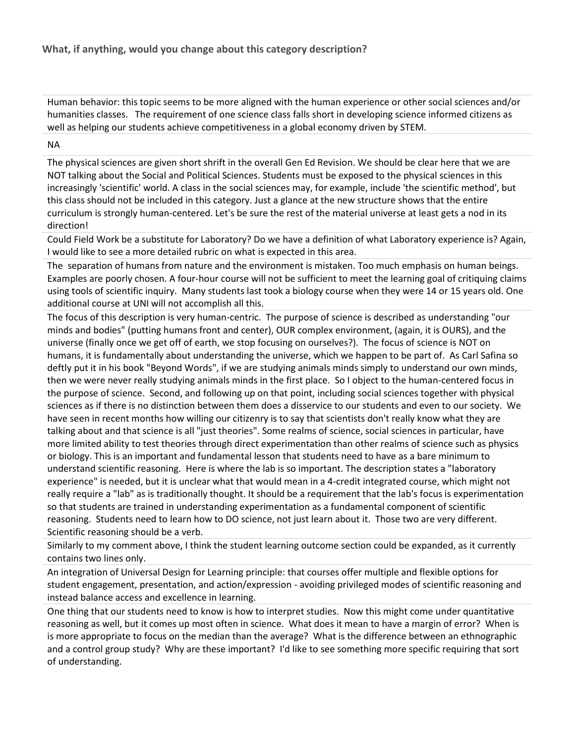Human behavior: this topic seems to be more aligned with the human experience or other social sciences and/or humanities classes. The requirement of one science class falls short in developing science informed citizens as well as helping our students achieve competitiveness in a global economy driven by STEM.

#### NA

The physical sciences are given short shrift in the overall Gen Ed Revision. We should be clear here that we are NOT talking about the Social and Political Sciences. Students must be exposed to the physical sciences in this increasingly 'scientific' world. A class in the social sciences may, for example, include 'the scientific method', but this class should not be included in this category. Just a glance at the new structure shows that the entire curriculum is strongly human-centered. Let's be sure the rest of the material universe at least gets a nod in its direction!

Could Field Work be a substitute for Laboratory? Do we have a definition of what Laboratory experience is? Again, I would like to see a more detailed rubric on what is expected in this area.

The separation of humans from nature and the environment is mistaken. Too much emphasis on human beings. Examples are poorly chosen. A four-hour course will not be sufficient to meet the learning goal of critiquing claims using tools of scientific inquiry. Many students last took a biology course when they were 14 or 15 years old. One additional course at UNI will not accomplish all this.

The focus of this description is very human-centric. The purpose of science is described as understanding "our minds and bodies" (putting humans front and center), OUR complex environment, (again, it is OURS), and the universe (finally once we get off of earth, we stop focusing on ourselves?). The focus of science is NOT on humans, it is fundamentally about understanding the universe, which we happen to be part of. As Carl Safina so deftly put it in his book "Beyond Words", if we are studying animals minds simply to understand our own minds, then we were never really studying animals minds in the first place. So I object to the human-centered focus in the purpose of science. Second, and following up on that point, including social sciences together with physical sciences as if there is no distinction between them does a disservice to our students and even to our society. We have seen in recent months how willing our citizenry is to say that scientists don't really know what they are talking about and that science is all "just theories". Some realms of science, social sciences in particular, have more limited ability to test theories through direct experimentation than other realms of science such as physics or biology. This is an important and fundamental lesson that students need to have as a bare minimum to understand scientific reasoning. Here is where the lab is so important. The description states a "laboratory experience" is needed, but it is unclear what that would mean in a 4-credit integrated course, which might not really require a "lab" as is traditionally thought. It should be a requirement that the lab's focus is experimentation so that students are trained in understanding experimentation as a fundamental component of scientific reasoning. Students need to learn how to DO science, not just learn about it. Those two are very different. Scientific reasoning should be a verb.

Similarly to my comment above, I think the student learning outcome section could be expanded, as it currently contains two lines only.

An integration of Universal Design for Learning principle: that courses offer multiple and flexible options for student engagement, presentation, and action/expression - avoiding privileged modes of scientific reasoning and instead balance access and excellence in learning.

One thing that our students need to know is how to interpret studies. Now this might come under quantitative reasoning as well, but it comes up most often in science. What does it mean to have a margin of error? When is is more appropriate to focus on the median than the average? What is the difference between an ethnographic and a control group study? Why are these important? I'd like to see something more specific requiring that sort of understanding.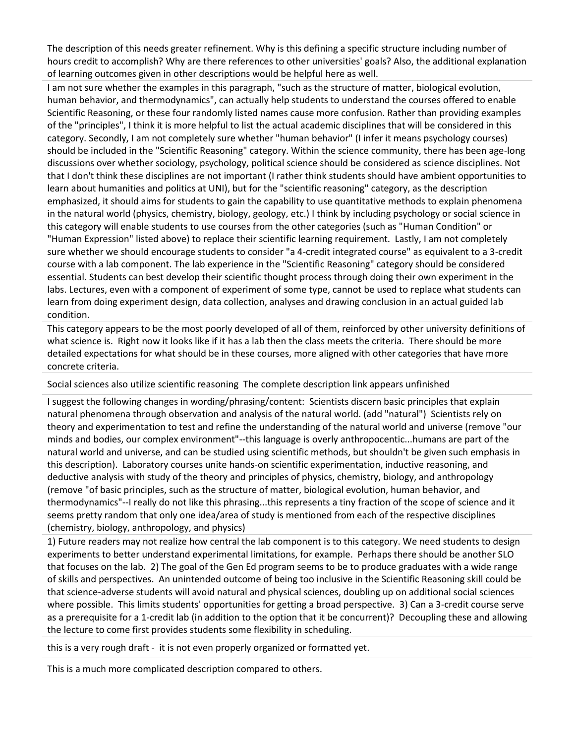The description of this needs greater refinement. Why is this defining a specific structure including number of hours credit to accomplish? Why are there references to other universities' goals? Also, the additional explanation of learning outcomes given in other descriptions would be helpful here as well.

I am not sure whether the examples in this paragraph, "such as the structure of matter, biological evolution, human behavior, and thermodynamics", can actually help students to understand the courses offered to enable Scientific Reasoning, or these four randomly listed names cause more confusion. Rather than providing examples of the "principles", I think it is more helpful to list the actual academic disciplines that will be considered in this category. Secondly, I am not completely sure whether "human behavior" (I infer it means psychology courses) should be included in the "Scientific Reasoning" category. Within the science community, there has been age-long discussions over whether sociology, psychology, political science should be considered as science disciplines. Not that I don't think these disciplines are not important (I rather think students should have ambient opportunities to learn about humanities and politics at UNI), but for the "scientific reasoning" category, as the description emphasized, it should aims for students to gain the capability to use quantitative methods to explain phenomena in the natural world (physics, chemistry, biology, geology, etc.) I think by including psychology or social science in this category will enable students to use courses from the other categories (such as "Human Condition" or "Human Expression" listed above) to replace their scientific learning requirement. Lastly, I am not completely sure whether we should encourage students to consider "a 4-credit integrated course" as equivalent to a 3-credit course with a lab component. The lab experience in the "Scientific Reasoning" category should be considered essential. Students can best develop their scientific thought process through doing their own experiment in the labs. Lectures, even with a component of experiment of some type, cannot be used to replace what students can learn from doing experiment design, data collection, analyses and drawing conclusion in an actual guided lab condition.

This category appears to be the most poorly developed of all of them, reinforced by other university definitions of what science is. Right now it looks like if it has a lab then the class meets the criteria. There should be more detailed expectations for what should be in these courses, more aligned with other categories that have more concrete criteria.

Social sciences also utilize scientific reasoning The complete description link appears unfinished

I suggest the following changes in wording/phrasing/content: Scientists discern basic principles that explain natural phenomena through observation and analysis of the natural world. (add "natural") Scientists rely on theory and experimentation to test and refine the understanding of the natural world and universe (remove "our minds and bodies, our complex environment"--this language is overly anthropocentic...humans are part of the natural world and universe, and can be studied using scientific methods, but shouldn't be given such emphasis in this description). Laboratory courses unite hands-on scientific experimentation, inductive reasoning, and deductive analysis with study of the theory and principles of physics, chemistry, biology, and anthropology (remove "of basic principles, such as the structure of matter, biological evolution, human behavior, and thermodynamics"--I really do not like this phrasing...this represents a tiny fraction of the scope of science and it seems pretty random that only one idea/area of study is mentioned from each of the respective disciplines (chemistry, biology, anthropology, and physics)

1) Future readers may not realize how central the lab component is to this category. We need students to design experiments to better understand experimental limitations, for example. Perhaps there should be another SLO that focuses on the lab. 2) The goal of the Gen Ed program seems to be to produce graduates with a wide range of skills and perspectives. An unintended outcome of being too inclusive in the Scientific Reasoning skill could be that science-adverse students will avoid natural and physical sciences, doubling up on additional social sciences where possible. This limits students' opportunities for getting a broad perspective. 3) Can a 3-credit course serve as a prerequisite for a 1-credit lab (in addition to the option that it be concurrent)? Decoupling these and allowing the lecture to come first provides students some flexibility in scheduling.

this is a very rough draft - it is not even properly organized or formatted yet.

This is a much more complicated description compared to others.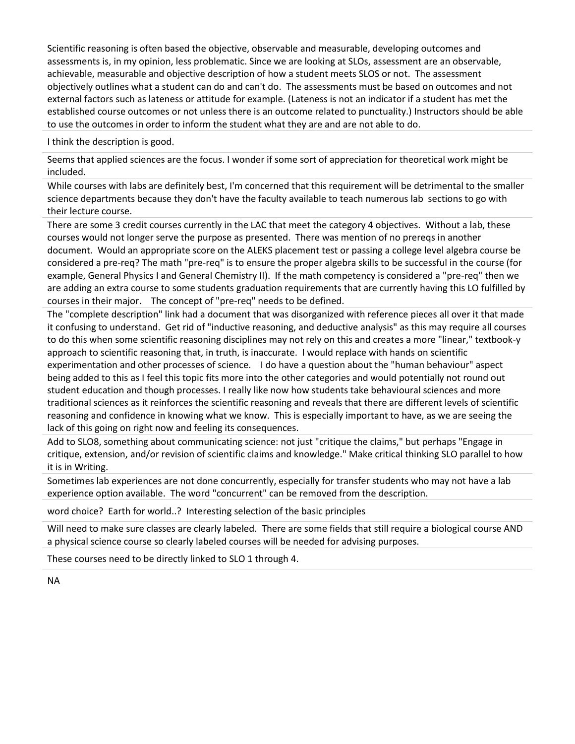Scientific reasoning is often based the objective, observable and measurable, developing outcomes and assessments is, in my opinion, less problematic. Since we are looking at SLOs, assessment are an observable, achievable, measurable and objective description of how a student meets SLOS or not. The assessment objectively outlines what a student can do and can't do. The assessments must be based on outcomes and not external factors such as lateness or attitude for example. (Lateness is not an indicator if a student has met the established course outcomes or not unless there is an outcome related to punctuality.) Instructors should be able to use the outcomes in order to inform the student what they are and are not able to do.

I think the description is good.

Seems that applied sciences are the focus. I wonder if some sort of appreciation for theoretical work might be included.

While courses with labs are definitely best, I'm concerned that this requirement will be detrimental to the smaller science departments because they don't have the faculty available to teach numerous lab sections to go with their lecture course.

There are some 3 credit courses currently in the LAC that meet the category 4 objectives. Without a lab, these courses would not longer serve the purpose as presented. There was mention of no prereqs in another document. Would an appropriate score on the ALEKS placement test or passing a college level algebra course be considered a pre-req? The math "pre-req" is to ensure the proper algebra skills to be successful in the course (for example, General Physics I and General Chemistry II). If the math competency is considered a "pre-req" then we are adding an extra course to some students graduation requirements that are currently having this LO fulfilled by courses in their major. The concept of "pre-req" needs to be defined.

The "complete description" link had a document that was disorganized with reference pieces all over it that made it confusing to understand. Get rid of "inductive reasoning, and deductive analysis" as this may require all courses to do this when some scientific reasoning disciplines may not rely on this and creates a more "linear," textbook-y approach to scientific reasoning that, in truth, is inaccurate. I would replace with hands on scientific experimentation and other processes of science. I do have a question about the "human behaviour" aspect being added to this as I feel this topic fits more into the other categories and would potentially not round out student education and though processes. I really like now how students take behavioural sciences and more traditional sciences as it reinforces the scientific reasoning and reveals that there are different levels of scientific reasoning and confidence in knowing what we know. This is especially important to have, as we are seeing the lack of this going on right now and feeling its consequences.

Add to SLO8, something about communicating science: not just "critique the claims," but perhaps "Engage in critique, extension, and/or revision of scientific claims and knowledge." Make critical thinking SLO parallel to how it is in Writing.

Sometimes lab experiences are not done concurrently, especially for transfer students who may not have a lab experience option available. The word "concurrent" can be removed from the description.

word choice? Earth for world..? Interesting selection of the basic principles

Will need to make sure classes are clearly labeled. There are some fields that still require a biological course AND a physical science course so clearly labeled courses will be needed for advising purposes.

These courses need to be directly linked to SLO 1 through 4.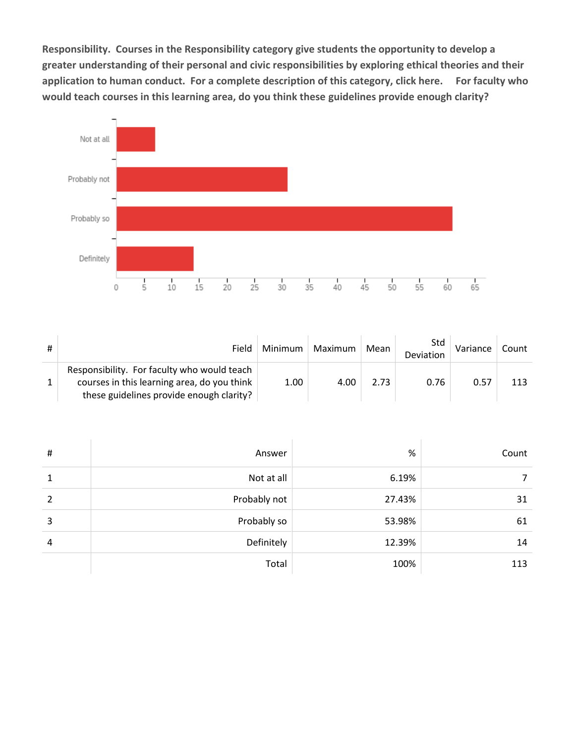**Responsibility. Courses in the Responsibility category give students the opportunity to develop a greater understanding of their personal and civic responsibilities by exploring ethical theories and their application to human conduct. For a complete description of this category, click here. For faculty who would teach courses in this learning area, do you think these guidelines provide enough clarity?**



| # | Field                                                                                                                                  | Minimum | Maximum | Mean | Std<br>Deviation | Variance | Count |
|---|----------------------------------------------------------------------------------------------------------------------------------------|---------|---------|------|------------------|----------|-------|
|   | Responsibility. For faculty who would teach<br>courses in this learning area, do you think<br>these guidelines provide enough clarity? | 1.00    | 4.00    | 2.73 | 0.76             | 0.57     | 113   |

| # | Answer       | %      | Count |
|---|--------------|--------|-------|
| 1 | Not at all   | 6.19%  |       |
| 2 | Probably not | 27.43% | 31    |
| 3 | Probably so  | 53.98% | 61    |
| 4 | Definitely   | 12.39% | 14    |
|   | Total        | 100%   | 113   |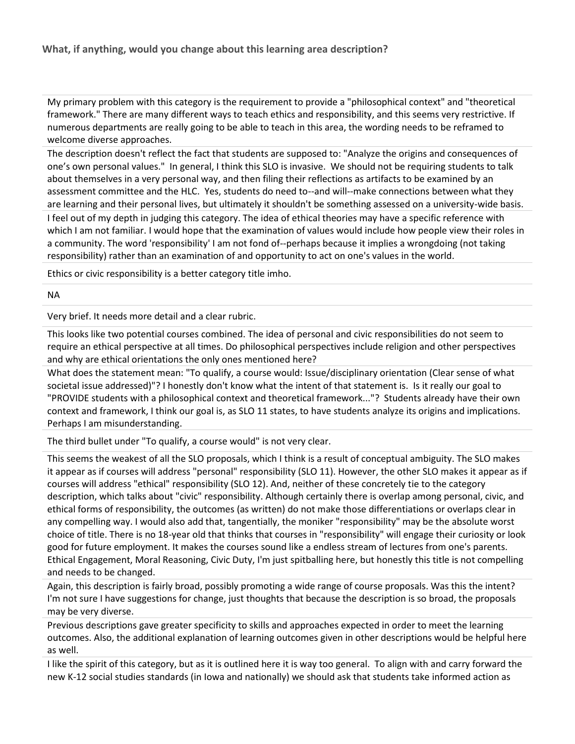My primary problem with this category is the requirement to provide a "philosophical context" and "theoretical framework." There are many different ways to teach ethics and responsibility, and this seems very restrictive. If numerous departments are really going to be able to teach in this area, the wording needs to be reframed to welcome diverse approaches.

The description doesn't reflect the fact that students are supposed to: "Analyze the origins and consequences of one's own personal values." In general, I think this SLO is invasive. We should not be requiring students to talk about themselves in a very personal way, and then filing their reflections as artifacts to be examined by an assessment committee and the HLC. Yes, students do need to--and will--make connections between what they are learning and their personal lives, but ultimately it shouldn't be something assessed on a university-wide basis.

I feel out of my depth in judging this category. The idea of ethical theories may have a specific reference with which I am not familiar. I would hope that the examination of values would include how people view their roles in a community. The word 'responsibility' I am not fond of--perhaps because it implies a wrongdoing (not taking responsibility) rather than an examination of and opportunity to act on one's values in the world.

Ethics or civic responsibility is a better category title imho.

#### NA

Very brief. It needs more detail and a clear rubric.

This looks like two potential courses combined. The idea of personal and civic responsibilities do not seem to require an ethical perspective at all times. Do philosophical perspectives include religion and other perspectives and why are ethical orientations the only ones mentioned here?

What does the statement mean: "To qualify, a course would: Issue/disciplinary orientation (Clear sense of what societal issue addressed)"? I honestly don't know what the intent of that statement is. Is it really our goal to "PROVIDE students with a philosophical context and theoretical framework..."? Students already have their own context and framework, I think our goal is, as SLO 11 states, to have students analyze its origins and implications. Perhaps I am misunderstanding.

The third bullet under "To qualify, a course would" is not very clear.

This seems the weakest of all the SLO proposals, which I think is a result of conceptual ambiguity. The SLO makes it appear as if courses will address "personal" responsibility (SLO 11). However, the other SLO makes it appear as if courses will address "ethical" responsibility (SLO 12). And, neither of these concretely tie to the category description, which talks about "civic" responsibility. Although certainly there is overlap among personal, civic, and ethical forms of responsibility, the outcomes (as written) do not make those differentiations or overlaps clear in any compelling way. I would also add that, tangentially, the moniker "responsibility" may be the absolute worst choice of title. There is no 18-year old that thinks that courses in "responsibility" will engage their curiosity or look good for future employment. It makes the courses sound like a endless stream of lectures from one's parents. Ethical Engagement, Moral Reasoning, Civic Duty, I'm just spitballing here, but honestly this title is not compelling and needs to be changed.

Again, this description is fairly broad, possibly promoting a wide range of course proposals. Was this the intent? I'm not sure I have suggestions for change, just thoughts that because the description is so broad, the proposals may be very diverse.

Previous descriptions gave greater specificity to skills and approaches expected in order to meet the learning outcomes. Also, the additional explanation of learning outcomes given in other descriptions would be helpful here as well.

I like the spirit of this category, but as it is outlined here it is way too general. To align with and carry forward the new K-12 social studies standards (in Iowa and nationally) we should ask that students take informed action as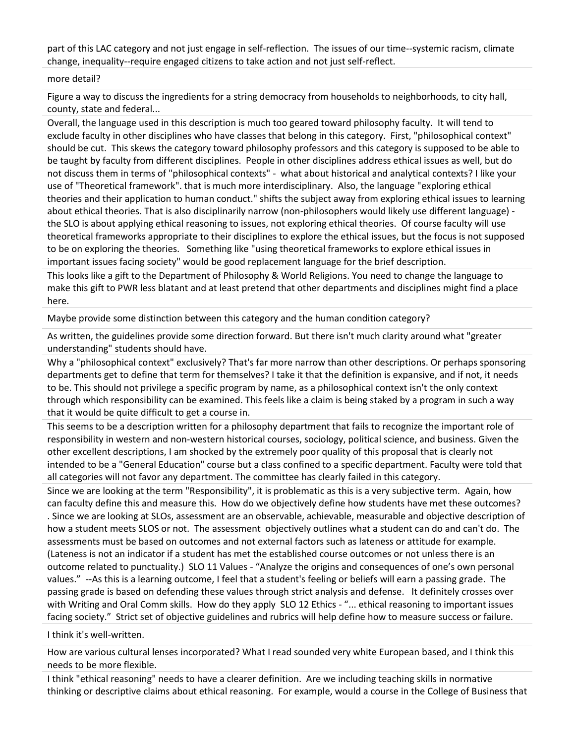part of this LAC category and not just engage in self-reflection. The issues of our time--systemic racism, climate change, inequality--require engaged citizens to take action and not just self-reflect.

#### more detail?

Figure a way to discuss the ingredients for a string democracy from households to neighborhoods, to city hall, county, state and federal...

Overall, the language used in this description is much too geared toward philosophy faculty. It will tend to exclude faculty in other disciplines who have classes that belong in this category. First, "philosophical context" should be cut. This skews the category toward philosophy professors and this category is supposed to be able to be taught by faculty from different disciplines. People in other disciplines address ethical issues as well, but do not discuss them in terms of "philosophical contexts" - what about historical and analytical contexts? I like your use of "Theoretical framework". that is much more interdisciplinary. Also, the language "exploring ethical theories and their application to human conduct." shifts the subject away from exploring ethical issues to learning about ethical theories. That is also disciplinarily narrow (non-philosophers would likely use different language) the SLO is about applying ethical reasoning to issues, not exploring ethical theories. Of course faculty will use theoretical frameworks appropriate to their disciplines to explore the ethical issues, but the focus is not supposed to be on exploring the theories. Something like "using theoretical frameworks to explore ethical issues in important issues facing society" would be good replacement language for the brief description.

This looks like a gift to the Department of Philosophy & World Religions. You need to change the language to make this gift to PWR less blatant and at least pretend that other departments and disciplines might find a place here.

Maybe provide some distinction between this category and the human condition category?

As written, the guidelines provide some direction forward. But there isn't much clarity around what "greater understanding" students should have.

Why a "philosophical context" exclusively? That's far more narrow than other descriptions. Or perhaps sponsoring departments get to define that term for themselves? I take it that the definition is expansive, and if not, it needs to be. This should not privilege a specific program by name, as a philosophical context isn't the only context through which responsibility can be examined. This feels like a claim is being staked by a program in such a way that it would be quite difficult to get a course in.

This seems to be a description written for a philosophy department that fails to recognize the important role of responsibility in western and non-western historical courses, sociology, political science, and business. Given the other excellent descriptions, I am shocked by the extremely poor quality of this proposal that is clearly not intended to be a "General Education" course but a class confined to a specific department. Faculty were told that all categories will not favor any department. The committee has clearly failed in this category.

Since we are looking at the term "Responsibility", it is problematic as this is a very subjective term. Again, how can faculty define this and measure this. How do we objectively define how students have met these outcomes? . Since we are looking at SLOs, assessment are an observable, achievable, measurable and objective description of how a student meets SLOS or not. The assessment objectively outlines what a student can do and can't do. The assessments must be based on outcomes and not external factors such as lateness or attitude for example. (Lateness is not an indicator if a student has met the established course outcomes or not unless there is an outcome related to punctuality.) SLO 11 Values - "Analyze the origins and consequences of one's own personal values." --As this is a learning outcome, I feel that a student's feeling or beliefs will earn a passing grade. The passing grade is based on defending these values through strict analysis and defense. It definitely crosses over with Writing and Oral Comm skills. How do they apply SLO 12 Ethics - "... ethical reasoning to important issues facing society." Strict set of objective guidelines and rubrics will help define how to measure success or failure.

I think it's well-written.

How are various cultural lenses incorporated? What I read sounded very white European based, and I think this needs to be more flexible.

I think "ethical reasoning" needs to have a clearer definition. Are we including teaching skills in normative thinking or descriptive claims about ethical reasoning. For example, would a course in the College of Business that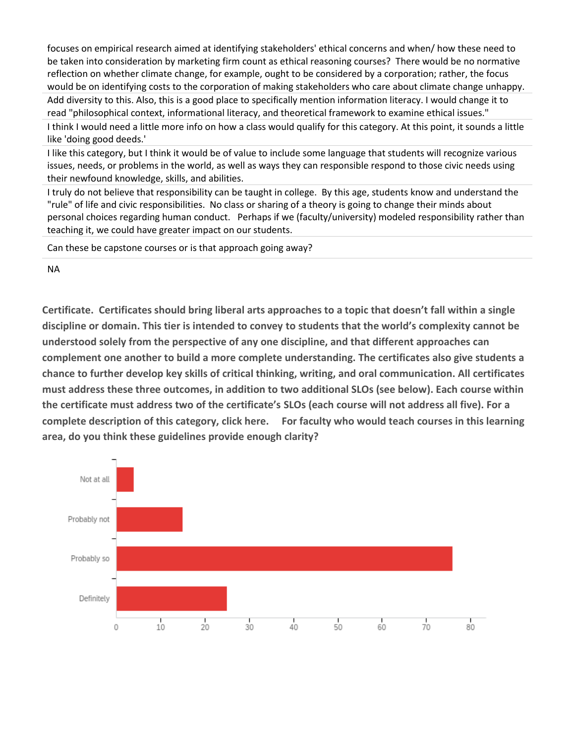focuses on empirical research aimed at identifying stakeholders' ethical concerns and when/ how these need to be taken into consideration by marketing firm count as ethical reasoning courses? There would be no normative reflection on whether climate change, for example, ought to be considered by a corporation; rather, the focus would be on identifying costs to the corporation of making stakeholders who care about climate change unhappy. Add diversity to this. Also, this is a good place to specifically mention information literacy. I would change it to read "philosophical context, informational literacy, and theoretical framework to examine ethical issues."

I think I would need a little more info on how a class would qualify for this category. At this point, it sounds a little like 'doing good deeds.'

I like this category, but I think it would be of value to include some language that students will recognize various issues, needs, or problems in the world, as well as ways they can responsible respond to those civic needs using their newfound knowledge, skills, and abilities.

I truly do not believe that responsibility can be taught in college. By this age, students know and understand the "rule" of life and civic responsibilities. No class or sharing of a theory is going to change their minds about personal choices regarding human conduct. Perhaps if we (faculty/university) modeled responsibility rather than teaching it, we could have greater impact on our students.

Can these be capstone courses or is that approach going away?

NA

**Certificate. Certificates should bring liberal arts approaches to a topic that doesn't fall within a single discipline or domain. This tier is intended to convey to students that the world's complexity cannot be understood solely from the perspective of any one discipline, and that different approaches can complement one another to build a more complete understanding. The certificates also give students a chance to further develop key skills of critical thinking, writing, and oral communication. All certificates must address these three outcomes, in addition to two additional SLOs (see below). Each course within the certificate must address two of the certificate's SLOs (each course will not address all five). For a complete description of this category, click here. For faculty who would teach courses in this learning area, do you think these guidelines provide enough clarity?**

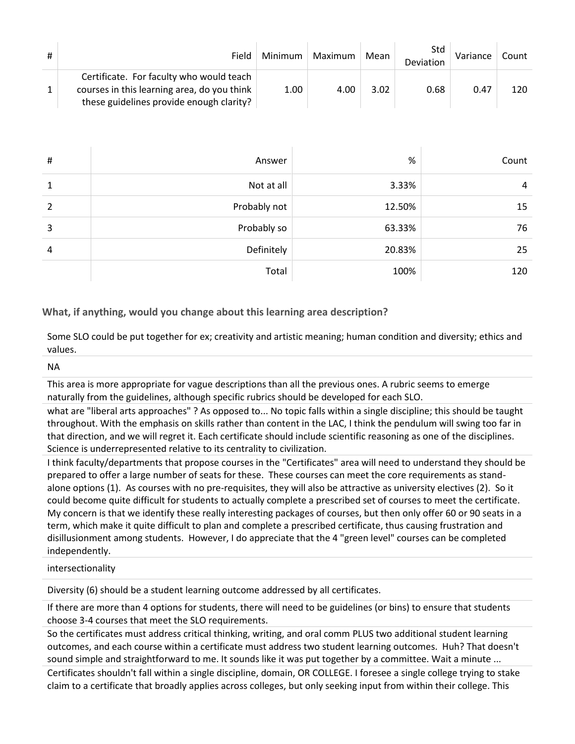| # | Field                                                                                                                               | Minimum | Maximum | Mean | Std<br>Deviation | Variance | Count |
|---|-------------------------------------------------------------------------------------------------------------------------------------|---------|---------|------|------------------|----------|-------|
|   | Certificate. For faculty who would teach<br>courses in this learning area, do you think<br>these guidelines provide enough clarity? | 1.00    | 4.00    | 3.02 | 0.68             | 0.47     | 120   |

| # | Answer       | %      | Count |
|---|--------------|--------|-------|
| 1 | Not at all   | 3.33%  | 4     |
| 2 | Probably not | 12.50% | 15    |
| 3 | Probably so  | 63.33% | 76    |
| 4 | Definitely   | 20.83% | 25    |
|   | Total        | 100%   | 120   |

#### **What, if anything, would you change about this learning area description?**

Some SLO could be put together for ex; creativity and artistic meaning; human condition and diversity; ethics and values.

NA

This area is more appropriate for vague descriptions than all the previous ones. A rubric seems to emerge naturally from the guidelines, although specific rubrics should be developed for each SLO.

what are "liberal arts approaches" ? As opposed to... No topic falls within a single discipline; this should be taught throughout. With the emphasis on skills rather than content in the LAC, I think the pendulum will swing too far in that direction, and we will regret it. Each certificate should include scientific reasoning as one of the disciplines. Science is underrepresented relative to its centrality to civilization.

I think faculty/departments that propose courses in the "Certificates" area will need to understand they should be prepared to offer a large number of seats for these. These courses can meet the core requirements as standalone options (1). As courses with no pre-requisites, they will also be attractive as university electives (2). So it could become quite difficult for students to actually complete a prescribed set of courses to meet the certificate. My concern is that we identify these really interesting packages of courses, but then only offer 60 or 90 seats in a term, which make it quite difficult to plan and complete a prescribed certificate, thus causing frustration and disillusionment among students. However, I do appreciate that the 4 "green level" courses can be completed independently.

#### intersectionality

Diversity (6) should be a student learning outcome addressed by all certificates.

If there are more than 4 options for students, there will need to be guidelines (or bins) to ensure that students choose 3-4 courses that meet the SLO requirements.

So the certificates must address critical thinking, writing, and oral comm PLUS two additional student learning outcomes, and each course within a certificate must address two student learning outcomes. Huh? That doesn't sound simple and straightforward to me. It sounds like it was put together by a committee. Wait a minute ...

Certificates shouldn't fall within a single discipline, domain, OR COLLEGE. I foresee a single college trying to stake claim to a certificate that broadly applies across colleges, but only seeking input from within their college. This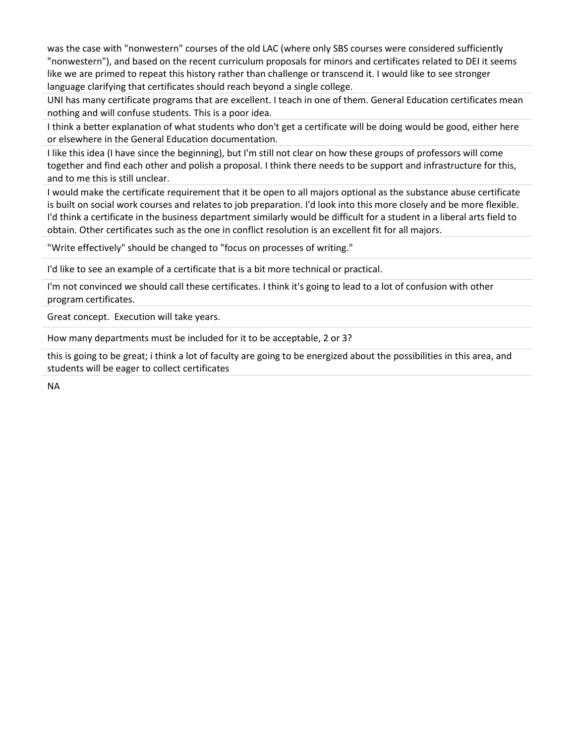was the case with "nonwestern" courses of the old LAC (where only SBS courses were considered sufficiently "nonwestern"), and based on the recent curriculum proposals for minors and certificates related to DEI it seems like we are primed to repeat this history rather than challenge or transcend it. I would like to see stronger language clarifying that certificates should reach beyond a single college.

UNI has many certificate programs that are excellent. I teach in one of them. General Education certificates mean nothing and will confuse students. This is a poor idea.

I think a better explanation of what students who don't get a certificate will be doing would be good, either here or elsewhere in the General Education documentation.

I like this idea (I have since the beginning), but I'm still not clear on how these groups of professors will come together and find each other and polish a proposal. I think there needs to be support and infrastructure for this, and to me this is still unclear.

I would make the certificate requirement that it be open to all majors optional as the substance abuse certificate is built on social work courses and relates to job preparation. I'd look into this more closely and be more flexible. I'd think a certificate in the business department similarly would be difficult for a student in a liberal arts field to obtain. Other certificates such as the one in conflict resolution is an excellent fit for all majors.

"Write effectively" should be changed to "focus on processes of writing."

I'd like to see an example of a certificate that is a bit more technical or practical.

I'm not convinced we should call these certificates. I think it's going to lead to a lot of confusion with other program certificates.

Great concept. Execution will take years.

How many departments must be included for it to be acceptable, 2 or 3?

this is going to be great; i think a lot of faculty are going to be energized about the possibilities in this area, and students will be eager to collect certificates

NA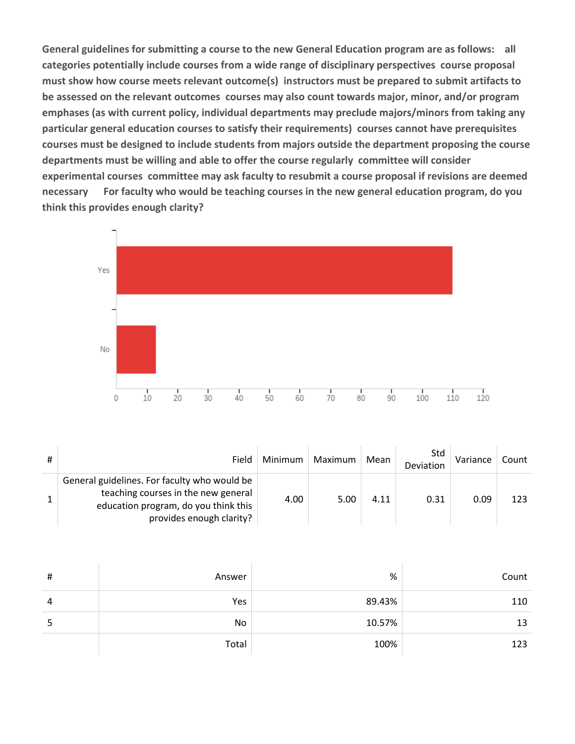**General guidelines for submitting a course to the new General Education program are as follows: all categories potentially include courses from a wide range of disciplinary perspectives course proposal must show how course meets relevant outcome(s) instructors must be prepared to submit artifacts to be assessed on the relevant outcomes courses may also count towards major, minor, and/or program emphases (as with current policy, individual departments may preclude majors/minors from taking any particular general education courses to satisfy their requirements) courses cannot have prerequisites courses must be designed to include students from majors outside the department proposing the course departments must be willing and able to offer the course regularly committee will consider experimental courses committee may ask faculty to resubmit a course proposal if revisions are deemed necessary For faculty who would be teaching courses in the new general education program, do you think this provides enough clarity?**



| # | Field                                                                                                                                                   | Minimum | Maximum | Mean | Std<br>Deviation | Variance | Count |
|---|---------------------------------------------------------------------------------------------------------------------------------------------------------|---------|---------|------|------------------|----------|-------|
|   | General guidelines. For faculty who would be<br>teaching courses in the new general<br>education program, do you think this<br>provides enough clarity? | 4.00    | 5.00    | 4.11 | 0.31             | 0.09     | 123   |

| $\sharp$ | Answer | %      | Count |
|----------|--------|--------|-------|
| 4        | Yes    | 89.43% | 110   |
| כ        | No     | 10.57% | 13    |
|          | Total  | 100%   | 123   |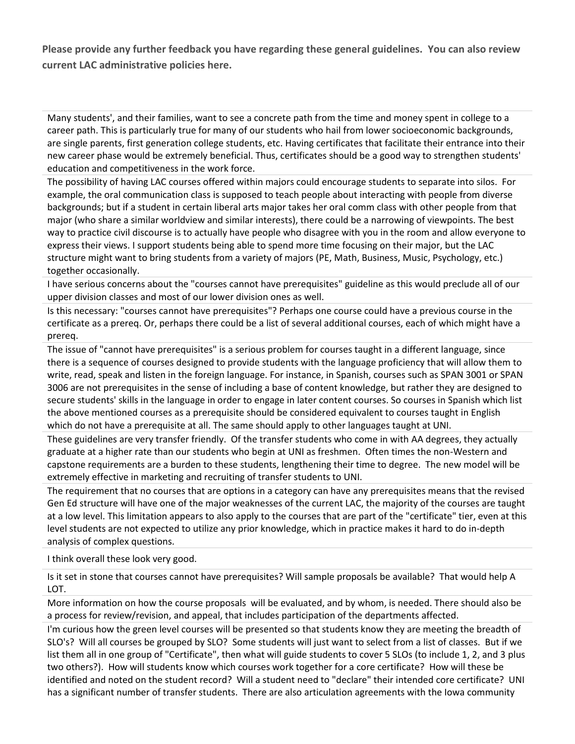**Please provide any further feedback you have regarding these general guidelines. You can also review current LAC administrative policies here.**

Many students', and their families, want to see a concrete path from the time and money spent in college to a career path. This is particularly true for many of our students who hail from lower socioeconomic backgrounds, are single parents, first generation college students, etc. Having certificates that facilitate their entrance into their new career phase would be extremely beneficial. Thus, certificates should be a good way to strengthen students' education and competitiveness in the work force.

The possibility of having LAC courses offered within majors could encourage students to separate into silos. For example, the oral communication class is supposed to teach people about interacting with people from diverse backgrounds; but if a student in certain liberal arts major takes her oral comm class with other people from that major (who share a similar worldview and similar interests), there could be a narrowing of viewpoints. The best way to practice civil discourse is to actually have people who disagree with you in the room and allow everyone to express their views. I support students being able to spend more time focusing on their major, but the LAC structure might want to bring students from a variety of majors (PE, Math, Business, Music, Psychology, etc.) together occasionally.

I have serious concerns about the "courses cannot have prerequisites" guideline as this would preclude all of our upper division classes and most of our lower division ones as well.

Is this necessary: "courses cannot have prerequisites"? Perhaps one course could have a previous course in the certificate as a prereq. Or, perhaps there could be a list of several additional courses, each of which might have a prereq.

The issue of "cannot have prerequisites" is a serious problem for courses taught in a different language, since there is a sequence of courses designed to provide students with the language proficiency that will allow them to write, read, speak and listen in the foreign language. For instance, in Spanish, courses such as SPAN 3001 or SPAN 3006 are not prerequisites in the sense of including a base of content knowledge, but rather they are designed to secure students' skills in the language in order to engage in later content courses. So courses in Spanish which list the above mentioned courses as a prerequisite should be considered equivalent to courses taught in English which do not have a prerequisite at all. The same should apply to other languages taught at UNI.

These guidelines are very transfer friendly. Of the transfer students who come in with AA degrees, they actually graduate at a higher rate than our students who begin at UNI as freshmen. Often times the non-Western and capstone requirements are a burden to these students, lengthening their time to degree. The new model will be extremely effective in marketing and recruiting of transfer students to UNI.

The requirement that no courses that are options in a category can have any prerequisites means that the revised Gen Ed structure will have one of the major weaknesses of the current LAC, the majority of the courses are taught at a low level. This limitation appears to also apply to the courses that are part of the "certificate" tier, even at this level students are not expected to utilize any prior knowledge, which in practice makes it hard to do in-depth analysis of complex questions.

I think overall these look very good.

Is it set in stone that courses cannot have prerequisites? Will sample proposals be available? That would help A LOT.

More information on how the course proposals will be evaluated, and by whom, is needed. There should also be a process for review/revision, and appeal, that includes participation of the departments affected.

I'm curious how the green level courses will be presented so that students know they are meeting the breadth of SLO's? Will all courses be grouped by SLO? Some students will just want to select from a list of classes. But if we list them all in one group of "Certificate", then what will guide students to cover 5 SLOs (to include 1, 2, and 3 plus two others?). How will students know which courses work together for a core certificate? How will these be identified and noted on the student record? Will a student need to "declare" their intended core certificate? UNI has a significant number of transfer students. There are also articulation agreements with the Iowa community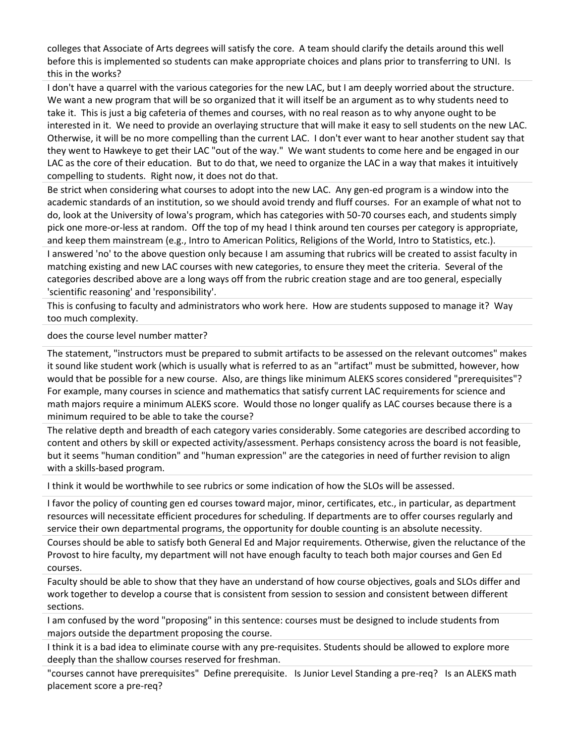colleges that Associate of Arts degrees will satisfy the core. A team should clarify the details around this well before this is implemented so students can make appropriate choices and plans prior to transferring to UNI. Is this in the works?

I don't have a quarrel with the various categories for the new LAC, but I am deeply worried about the structure. We want a new program that will be so organized that it will itself be an argument as to why students need to take it. This is just a big cafeteria of themes and courses, with no real reason as to why anyone ought to be interested in it. We need to provide an overlaying structure that will make it easy to sell students on the new LAC. Otherwise, it will be no more compelling than the current LAC. I don't ever want to hear another student say that they went to Hawkeye to get their LAC "out of the way." We want students to come here and be engaged in our LAC as the core of their education. But to do that, we need to organize the LAC in a way that makes it intuitively compelling to students. Right now, it does not do that.

Be strict when considering what courses to adopt into the new LAC. Any gen-ed program is a window into the academic standards of an institution, so we should avoid trendy and fluff courses. For an example of what not to do, look at the University of Iowa's program, which has categories with 50-70 courses each, and students simply pick one more-or-less at random. Off the top of my head I think around ten courses per category is appropriate, and keep them mainstream (e.g., Intro to American Politics, Religions of the World, Intro to Statistics, etc.).

I answered 'no' to the above question only because I am assuming that rubrics will be created to assist faculty in matching existing and new LAC courses with new categories, to ensure they meet the criteria. Several of the categories described above are a long ways off from the rubric creation stage and are too general, especially 'scientific reasoning' and 'responsibility'.

This is confusing to faculty and administrators who work here. How are students supposed to manage it? Way too much complexity.

#### does the course level number matter?

The statement, "instructors must be prepared to submit artifacts to be assessed on the relevant outcomes" makes it sound like student work (which is usually what is referred to as an "artifact" must be submitted, however, how would that be possible for a new course. Also, are things like minimum ALEKS scores considered "prerequisites"? For example, many courses in science and mathematics that satisfy current LAC requirements for science and math majors require a minimum ALEKS score. Would those no longer qualify as LAC courses because there is a minimum required to be able to take the course?

The relative depth and breadth of each category varies considerably. Some categories are described according to content and others by skill or expected activity/assessment. Perhaps consistency across the board is not feasible, but it seems "human condition" and "human expression" are the categories in need of further revision to align with a skills-based program.

I think it would be worthwhile to see rubrics or some indication of how the SLOs will be assessed.

I favor the policy of counting gen ed courses toward major, minor, certificates, etc., in particular, as department resources will necessitate efficient procedures for scheduling. If departments are to offer courses regularly and service their own departmental programs, the opportunity for double counting is an absolute necessity.

Courses should be able to satisfy both General Ed and Major requirements. Otherwise, given the reluctance of the Provost to hire faculty, my department will not have enough faculty to teach both major courses and Gen Ed courses.

Faculty should be able to show that they have an understand of how course objectives, goals and SLOs differ and work together to develop a course that is consistent from session to session and consistent between different sections.

I am confused by the word "proposing" in this sentence: courses must be designed to include students from majors outside the department proposing the course.

I think it is a bad idea to eliminate course with any pre-requisites. Students should be allowed to explore more deeply than the shallow courses reserved for freshman.

"courses cannot have prerequisites" Define prerequisite. Is Junior Level Standing a pre-req? Is an ALEKS math placement score a pre-req?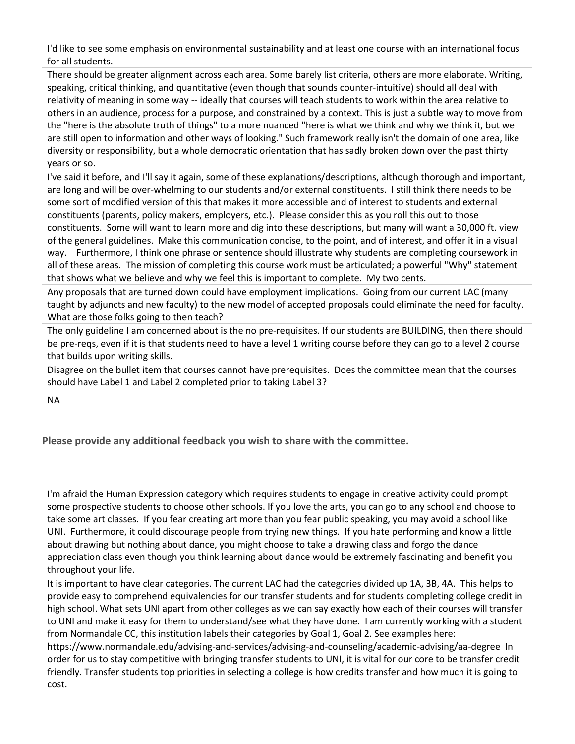I'd like to see some emphasis on environmental sustainability and at least one course with an international focus for all students.

There should be greater alignment across each area. Some barely list criteria, others are more elaborate. Writing, speaking, critical thinking, and quantitative (even though that sounds counter-intuitive) should all deal with relativity of meaning in some way -- ideally that courses will teach students to work within the area relative to others in an audience, process for a purpose, and constrained by a context. This is just a subtle way to move from the "here is the absolute truth of things" to a more nuanced "here is what we think and why we think it, but we are still open to information and other ways of looking." Such framework really isn't the domain of one area, like diversity or responsibility, but a whole democratic orientation that has sadly broken down over the past thirty years or so.

I've said it before, and I'll say it again, some of these explanations/descriptions, although thorough and important, are long and will be over-whelming to our students and/or external constituents. I still think there needs to be some sort of modified version of this that makes it more accessible and of interest to students and external constituents (parents, policy makers, employers, etc.). Please consider this as you roll this out to those constituents. Some will want to learn more and dig into these descriptions, but many will want a 30,000 ft. view of the general guidelines. Make this communication concise, to the point, and of interest, and offer it in a visual way. Furthermore, I think one phrase or sentence should illustrate why students are completing coursework in all of these areas. The mission of completing this course work must be articulated; a powerful "Why" statement that shows what we believe and why we feel this is important to complete. My two cents.

Any proposals that are turned down could have employment implications. Going from our current LAC (many taught by adjuncts and new faculty) to the new model of accepted proposals could eliminate the need for faculty. What are those folks going to then teach?

The only guideline I am concerned about is the no pre-requisites. If our students are BUILDING, then there should be pre-reqs, even if it is that students need to have a level 1 writing course before they can go to a level 2 course that builds upon writing skills.

Disagree on the bullet item that courses cannot have prerequisites. Does the committee mean that the courses should have Label 1 and Label 2 completed prior to taking Label 3?

NA

**Please provide any additional feedback you wish to share with the committee.**

I'm afraid the Human Expression category which requires students to engage in creative activity could prompt some prospective students to choose other schools. If you love the arts, you can go to any school and choose to take some art classes. If you fear creating art more than you fear public speaking, you may avoid a school like UNI. Furthermore, it could discourage people from trying new things. If you hate performing and know a little about drawing but nothing about dance, you might choose to take a drawing class and forgo the dance appreciation class even though you think learning about dance would be extremely fascinating and benefit you throughout your life.

It is important to have clear categories. The current LAC had the categories divided up 1A, 3B, 4A. This helps to provide easy to comprehend equivalencies for our transfer students and for students completing college credit in high school. What sets UNI apart from other colleges as we can say exactly how each of their courses will transfer to UNI and make it easy for them to understand/see what they have done. I am currently working with a student from Normandale CC, this institution labels their categories by Goal 1, Goal 2. See examples here:

https://www.normandale.edu/advising-and-services/advising-and-counseling/academic-advising/aa-degree In order for us to stay competitive with bringing transfer students to UNI, it is vital for our core to be transfer credit friendly. Transfer students top priorities in selecting a college is how credits transfer and how much it is going to cost.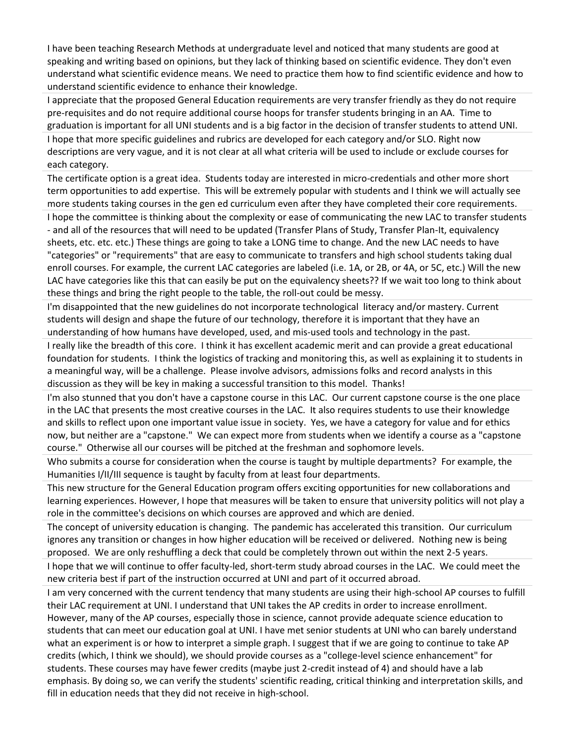I have been teaching Research Methods at undergraduate level and noticed that many students are good at speaking and writing based on opinions, but they lack of thinking based on scientific evidence. They don't even understand what scientific evidence means. We need to practice them how to find scientific evidence and how to understand scientific evidence to enhance their knowledge.

I appreciate that the proposed General Education requirements are very transfer friendly as they do not require pre-requisites and do not require additional course hoops for transfer students bringing in an AA. Time to graduation is important for all UNI students and is a big factor in the decision of transfer students to attend UNI. I hope that more specific guidelines and rubrics are developed for each category and/or SLO. Right now descriptions are very vague, and it is not clear at all what criteria will be used to include or exclude courses for each category.

The certificate option is a great idea. Students today are interested in micro-credentials and other more short term opportunities to add expertise. This will be extremely popular with students and I think we will actually see more students taking courses in the gen ed curriculum even after they have completed their core requirements. I hope the committee is thinking about the complexity or ease of communicating the new LAC to transfer students - and all of the resources that will need to be updated (Transfer Plans of Study, Transfer Plan-It, equivalency sheets, etc. etc. etc.) These things are going to take a LONG time to change. And the new LAC needs to have "categories" or "requirements" that are easy to communicate to transfers and high school students taking dual enroll courses. For example, the current LAC categories are labeled (i.e. 1A, or 2B, or 4A, or 5C, etc.) Will the new LAC have categories like this that can easily be put on the equivalency sheets?? If we wait too long to think about these things and bring the right people to the table, the roll-out could be messy.

I'm disappointed that the new guidelines do not incorporate technological literacy and/or mastery. Current students will design and shape the future of our technology, therefore it is important that they have an understanding of how humans have developed, used, and mis-used tools and technology in the past.

I really like the breadth of this core. I think it has excellent academic merit and can provide a great educational foundation for students. I think the logistics of tracking and monitoring this, as well as explaining it to students in a meaningful way, will be a challenge. Please involve advisors, admissions folks and record analysts in this discussion as they will be key in making a successful transition to this model. Thanks!

I'm also stunned that you don't have a capstone course in this LAC. Our current capstone course is the one place in the LAC that presents the most creative courses in the LAC. It also requires students to use their knowledge and skills to reflect upon one important value issue in society. Yes, we have a category for value and for ethics now, but neither are a "capstone." We can expect more from students when we identify a course as a "capstone course." Otherwise all our courses will be pitched at the freshman and sophomore levels.

Who submits a course for consideration when the course is taught by multiple departments? For example, the Humanities I/II/III sequence is taught by faculty from at least four departments.

This new structure for the General Education program offers exciting opportunities for new collaborations and learning experiences. However, I hope that measures will be taken to ensure that university politics will not play a role in the committee's decisions on which courses are approved and which are denied.

The concept of university education is changing. The pandemic has accelerated this transition. Our curriculum ignores any transition or changes in how higher education will be received or delivered. Nothing new is being proposed. We are only reshuffling a deck that could be completely thrown out within the next 2-5 years.

I hope that we will continue to offer faculty-led, short-term study abroad courses in the LAC. We could meet the new criteria best if part of the instruction occurred at UNI and part of it occurred abroad.

I am very concerned with the current tendency that many students are using their high-school AP courses to fulfill their LAC requirement at UNI. I understand that UNI takes the AP credits in order to increase enrollment. However, many of the AP courses, especially those in science, cannot provide adequate science education to students that can meet our education goal at UNI. I have met senior students at UNI who can barely understand what an experiment is or how to interpret a simple graph. I suggest that if we are going to continue to take AP credits (which, I think we should), we should provide courses as a "college-level science enhancement" for students. These courses may have fewer credits (maybe just 2-credit instead of 4) and should have a lab emphasis. By doing so, we can verify the students' scientific reading, critical thinking and interpretation skills, and fill in education needs that they did not receive in high-school.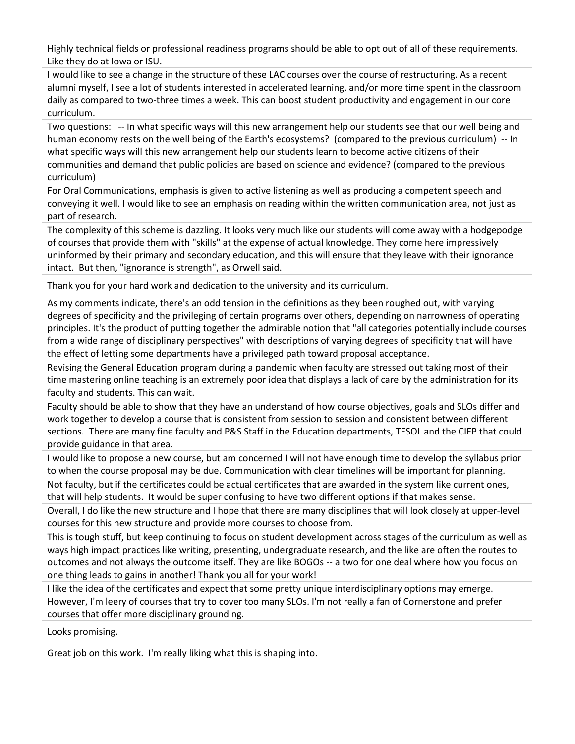Highly technical fields or professional readiness programs should be able to opt out of all of these requirements. Like they do at Iowa or ISU.

I would like to see a change in the structure of these LAC courses over the course of restructuring. As a recent alumni myself, I see a lot of students interested in accelerated learning, and/or more time spent in the classroom daily as compared to two-three times a week. This can boost student productivity and engagement in our core curriculum.

Two questions: -- In what specific ways will this new arrangement help our students see that our well being and human economy rests on the well being of the Earth's ecosystems? (compared to the previous curriculum) -- In what specific ways will this new arrangement help our students learn to become active citizens of their communities and demand that public policies are based on science and evidence? (compared to the previous curriculum)

For Oral Communications, emphasis is given to active listening as well as producing a competent speech and conveying it well. I would like to see an emphasis on reading within the written communication area, not just as part of research.

The complexity of this scheme is dazzling. It looks very much like our students will come away with a hodgepodge of courses that provide them with "skills" at the expense of actual knowledge. They come here impressively uninformed by their primary and secondary education, and this will ensure that they leave with their ignorance intact. But then, "ignorance is strength", as Orwell said.

Thank you for your hard work and dedication to the university and its curriculum.

As my comments indicate, there's an odd tension in the definitions as they been roughed out, with varying degrees of specificity and the privileging of certain programs over others, depending on narrowness of operating principles. It's the product of putting together the admirable notion that "all categories potentially include courses from a wide range of disciplinary perspectives" with descriptions of varying degrees of specificity that will have the effect of letting some departments have a privileged path toward proposal acceptance.

Revising the General Education program during a pandemic when faculty are stressed out taking most of their time mastering online teaching is an extremely poor idea that displays a lack of care by the administration for its faculty and students. This can wait.

Faculty should be able to show that they have an understand of how course objectives, goals and SLOs differ and work together to develop a course that is consistent from session to session and consistent between different sections. There are many fine faculty and P&S Staff in the Education departments, TESOL and the CIEP that could provide guidance in that area.

I would like to propose a new course, but am concerned I will not have enough time to develop the syllabus prior to when the course proposal may be due. Communication with clear timelines will be important for planning. Not faculty, but if the certificates could be actual certificates that are awarded in the system like current ones, that will help students. It would be super confusing to have two different options if that makes sense.

Overall, I do like the new structure and I hope that there are many disciplines that will look closely at upper-level courses for this new structure and provide more courses to choose from.

This is tough stuff, but keep continuing to focus on student development across stages of the curriculum as well as ways high impact practices like writing, presenting, undergraduate research, and the like are often the routes to outcomes and not always the outcome itself. They are like BOGOs -- a two for one deal where how you focus on one thing leads to gains in another! Thank you all for your work!

I like the idea of the certificates and expect that some pretty unique interdisciplinary options may emerge. However, I'm leery of courses that try to cover too many SLOs. I'm not really a fan of Cornerstone and prefer courses that offer more disciplinary grounding.

Looks promising.

Great job on this work. I'm really liking what this is shaping into.